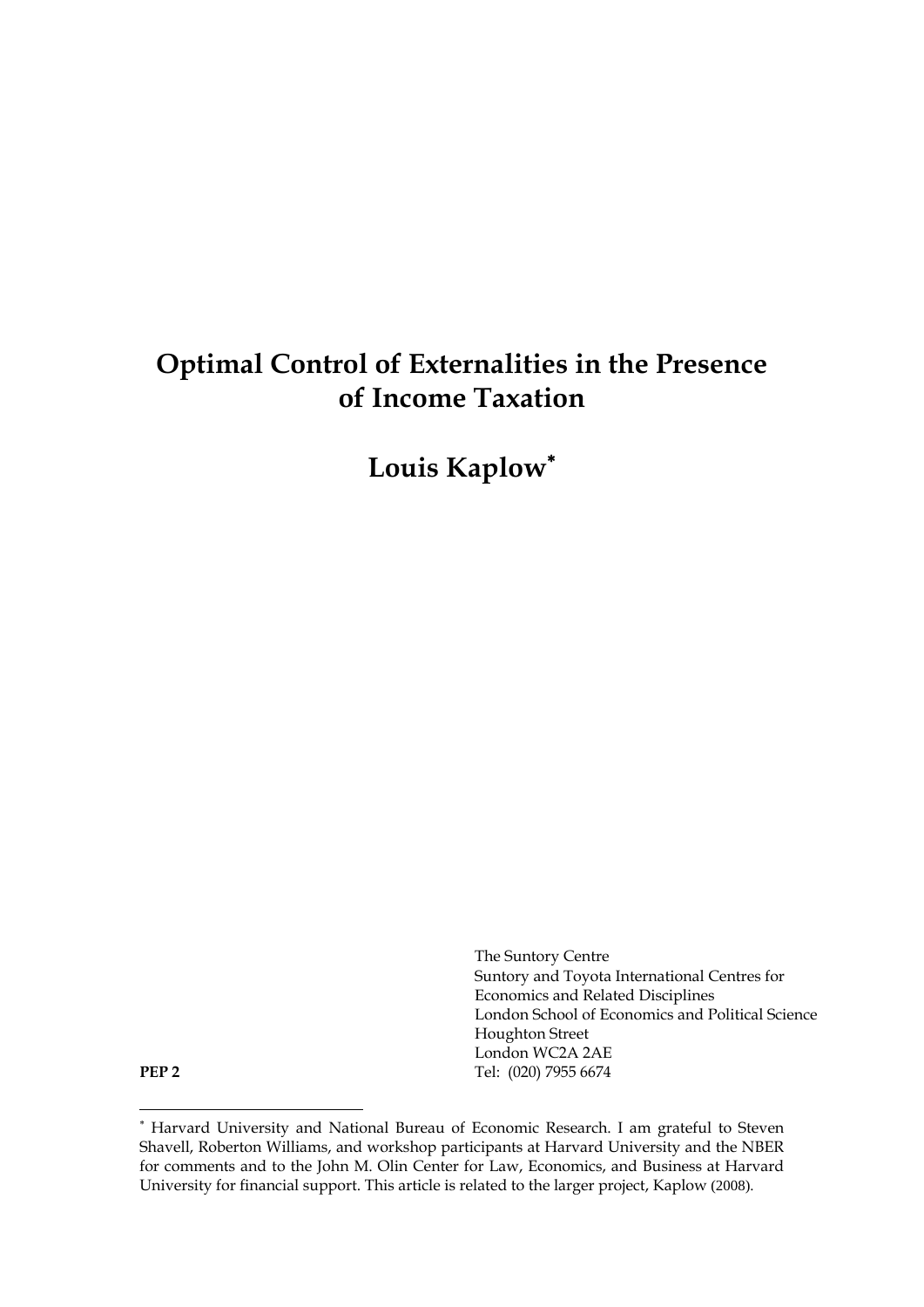# **Optimal Control of Externalities in the Presence of Income Taxation**

**Louis Kaplow**<sup>∗</sup>

The Suntory Centre Suntory and Toyota International Centres for Economics and Related Disciplines London School of Economics and Political Science Houghton Street London WC2A 2AE **PEP 2** Tel: (020) 7955 6674

1

<sup>∗</sup> Harvard University and National Bureau of Economic Research. I am grateful to Steven Shavell, Roberton Williams, and workshop participants at Harvard University and the NBER for comments and to the John M. Olin Center for Law, Economics, and Business at Harvard University for financial support. This article is related to the larger project, Kaplow (2008).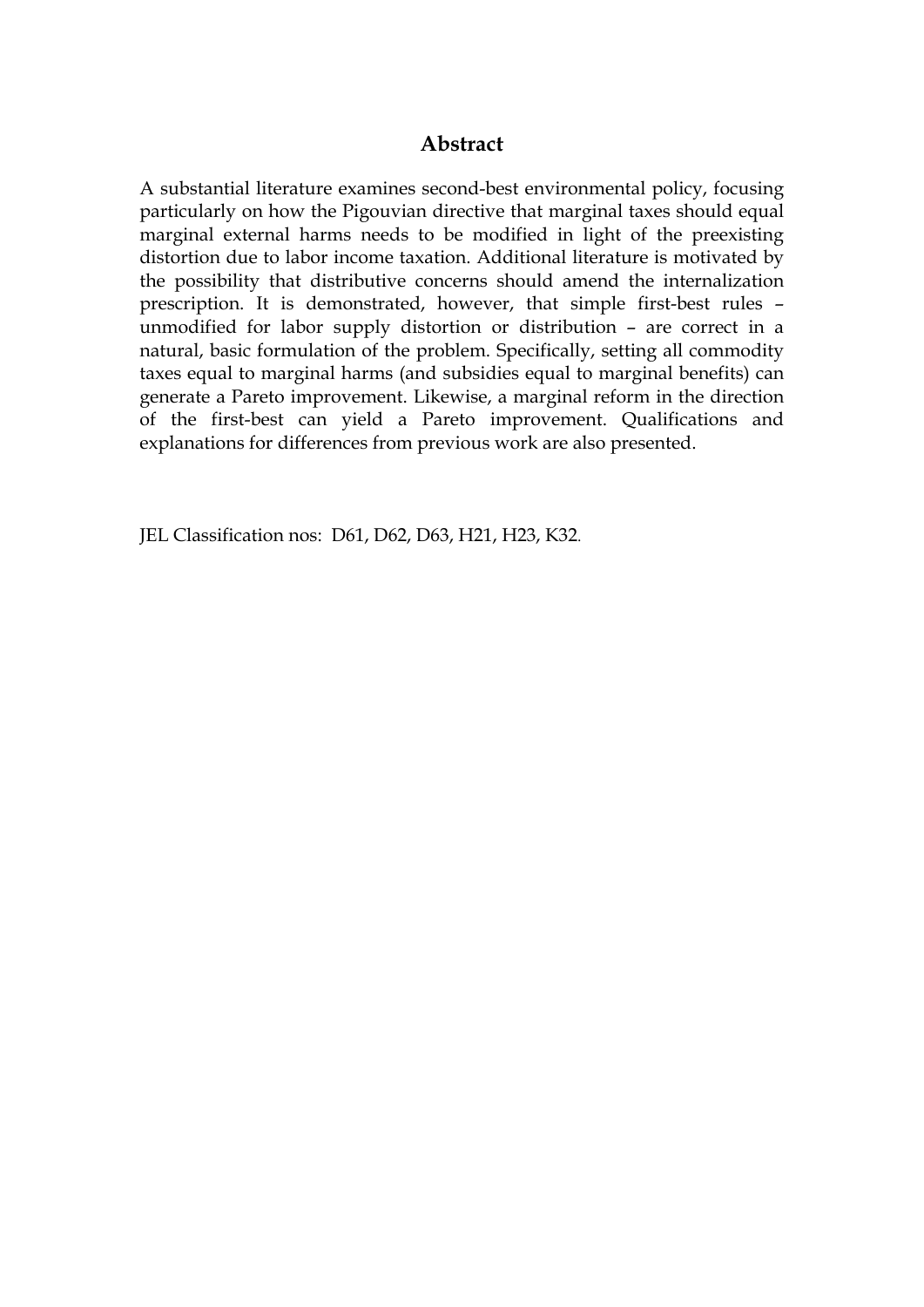## **Abstract**

A substantial literature examines second-best environmental policy, focusing particularly on how the Pigouvian directive that marginal taxes should equal marginal external harms needs to be modified in light of the preexisting distortion due to labor income taxation. Additional literature is motivated by the possibility that distributive concerns should amend the internalization prescription. It is demonstrated, however, that simple first-best rules – unmodified for labor supply distortion or distribution – are correct in a natural, basic formulation of the problem. Specifically, setting all commodity taxes equal to marginal harms (and subsidies equal to marginal benefits) can generate a Pareto improvement. Likewise, a marginal reform in the direction of the first-best can yield a Pareto improvement. Qualifications and explanations for differences from previous work are also presented.

JEL Classification nos:D61, D62, D63, H21, H23, K32.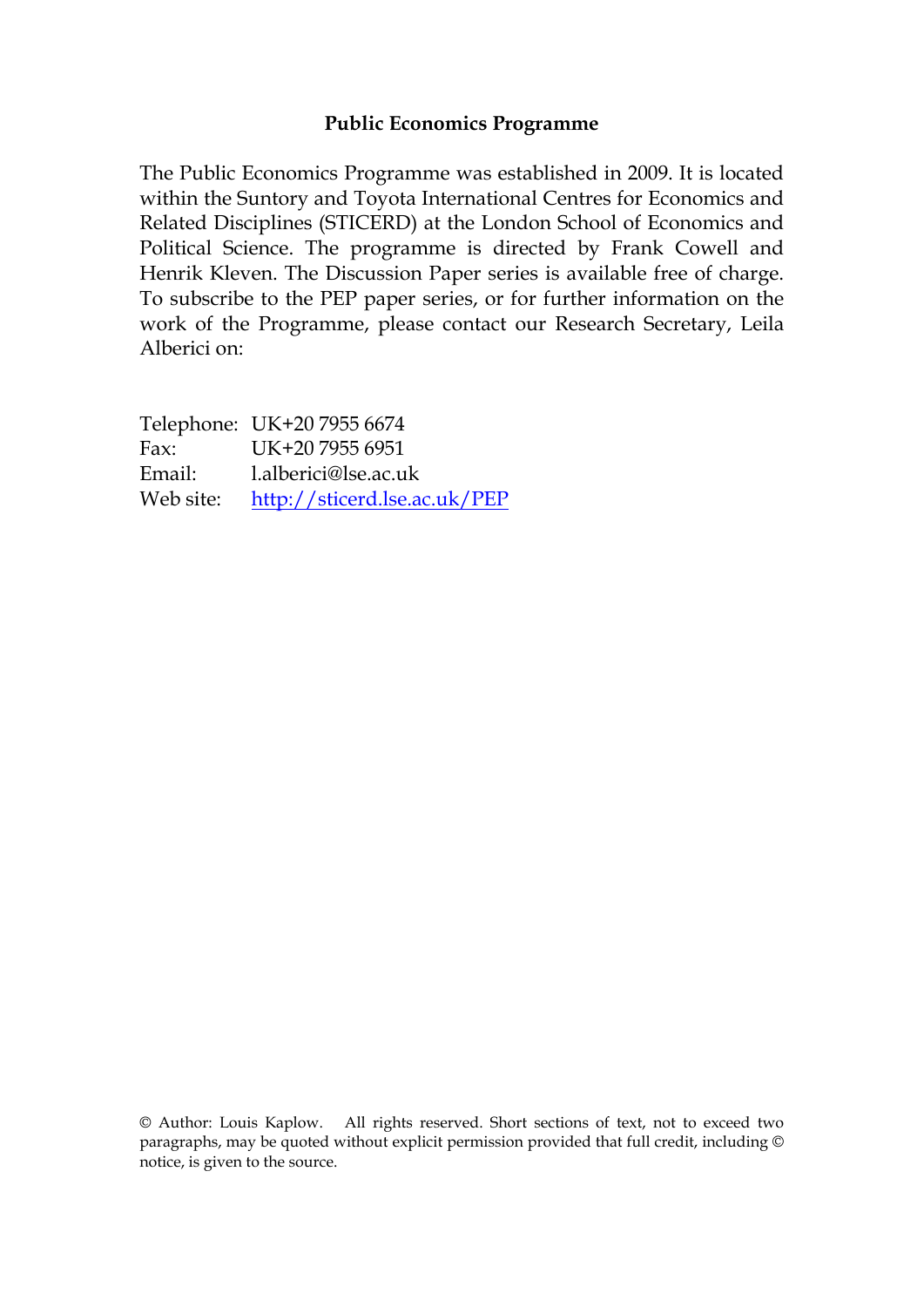# **Public Economics Programme**

The Public Economics Programme was established in 2009. It is located within the Suntory and Toyota International Centres for Economics and Related Disciplines (STICERD) at the London School of Economics and Political Science. The programme is directed by Frank Cowell and Henrik Kleven. The Discussion Paper series is available free of charge. To subscribe to the PEP paper series, or for further information on the work of the Programme, please contact our Research Secretary, Leila Alberici on:

Telephone: UK+20 7955 6674 Fax: UK+20 7955 6951 Email: l.alberici@lse.ac.uk Web site: http://sticerd.lse.ac.uk/PEP

© Author: Louis Kaplow. All rights reserved. Short sections of text, not to exceed two paragraphs, may be quoted without explicit permission provided that full credit, including © notice, is given to the source.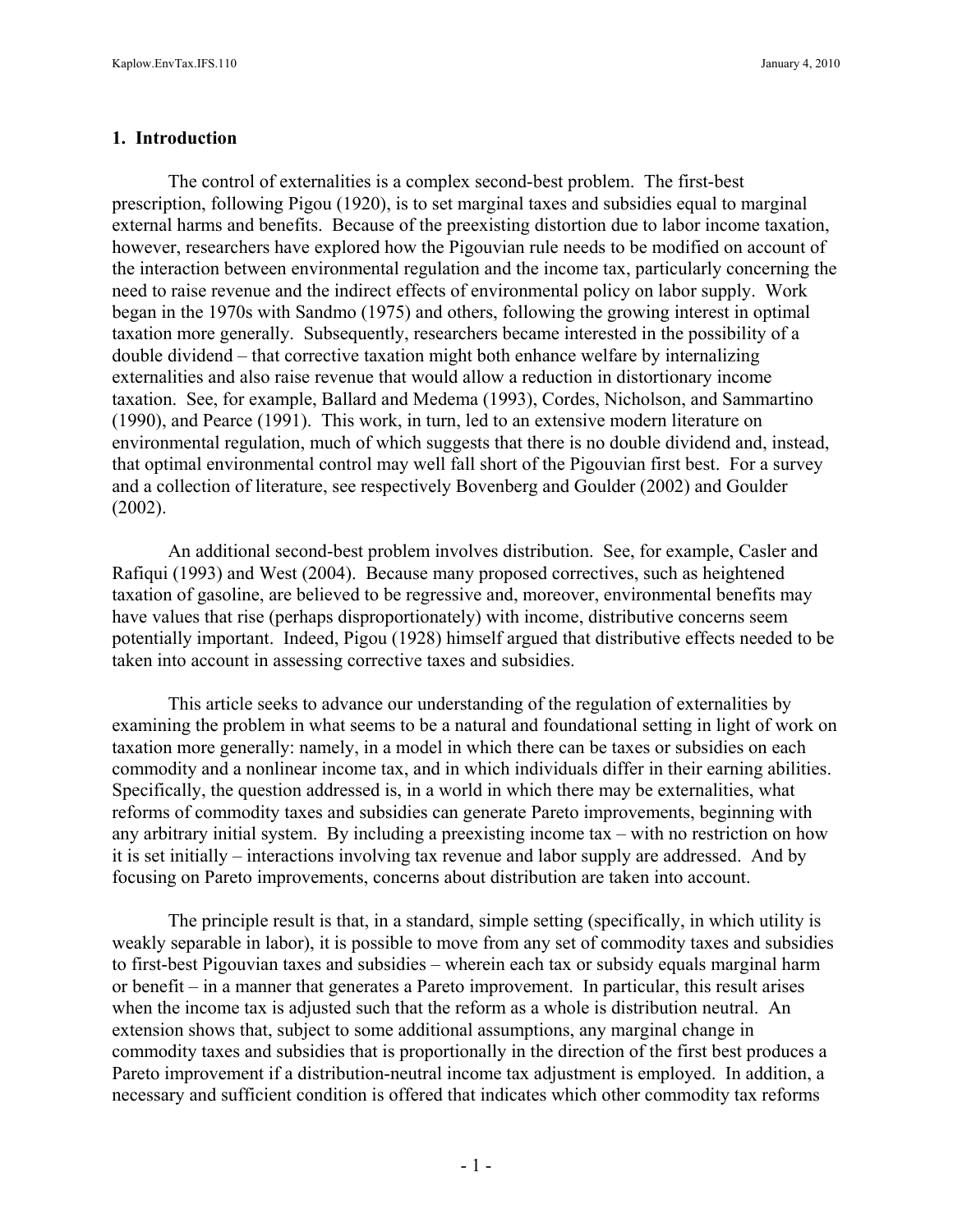#### **1. Introduction**

The control of externalities is a complex second-best problem. The first-best prescription, following Pigou (1920), is to set marginal taxes and subsidies equal to marginal external harms and benefits. Because of the preexisting distortion due to labor income taxation, however, researchers have explored how the Pigouvian rule needs to be modified on account of the interaction between environmental regulation and the income tax, particularly concerning the need to raise revenue and the indirect effects of environmental policy on labor supply. Work began in the 1970s with Sandmo (1975) and others, following the growing interest in optimal taxation more generally. Subsequently, researchers became interested in the possibility of a double dividend – that corrective taxation might both enhance welfare by internalizing externalities and also raise revenue that would allow a reduction in distortionary income taxation. See, for example, Ballard and Medema (1993), Cordes, Nicholson, and Sammartino (1990), and Pearce (1991). This work, in turn, led to an extensive modern literature on environmental regulation, much of which suggests that there is no double dividend and, instead, that optimal environmental control may well fall short of the Pigouvian first best. For a survey and a collection of literature, see respectively Bovenberg and Goulder (2002) and Goulder (2002).

An additional second-best problem involves distribution. See, for example, Casler and Rafiqui (1993) and West (2004). Because many proposed correctives, such as heightened taxation of gasoline, are believed to be regressive and, moreover, environmental benefits may have values that rise (perhaps disproportionately) with income, distributive concerns seem potentially important. Indeed, Pigou (1928) himself argued that distributive effects needed to be taken into account in assessing corrective taxes and subsidies.

This article seeks to advance our understanding of the regulation of externalities by examining the problem in what seems to be a natural and foundational setting in light of work on taxation more generally: namely, in a model in which there can be taxes or subsidies on each commodity and a nonlinear income tax, and in which individuals differ in their earning abilities. Specifically, the question addressed is, in a world in which there may be externalities, what reforms of commodity taxes and subsidies can generate Pareto improvements, beginning with any arbitrary initial system. By including a preexisting income tax – with no restriction on how it is set initially – interactions involving tax revenue and labor supply are addressed. And by focusing on Pareto improvements, concerns about distribution are taken into account.

The principle result is that, in a standard, simple setting (specifically, in which utility is weakly separable in labor), it is possible to move from any set of commodity taxes and subsidies to first-best Pigouvian taxes and subsidies – wherein each tax or subsidy equals marginal harm or benefit – in a manner that generates a Pareto improvement. In particular, this result arises when the income tax is adjusted such that the reform as a whole is distribution neutral. An extension shows that, subject to some additional assumptions, any marginal change in commodity taxes and subsidies that is proportionally in the direction of the first best produces a Pareto improvement if a distribution-neutral income tax adjustment is employed. In addition, a necessary and sufficient condition is offered that indicates which other commodity tax reforms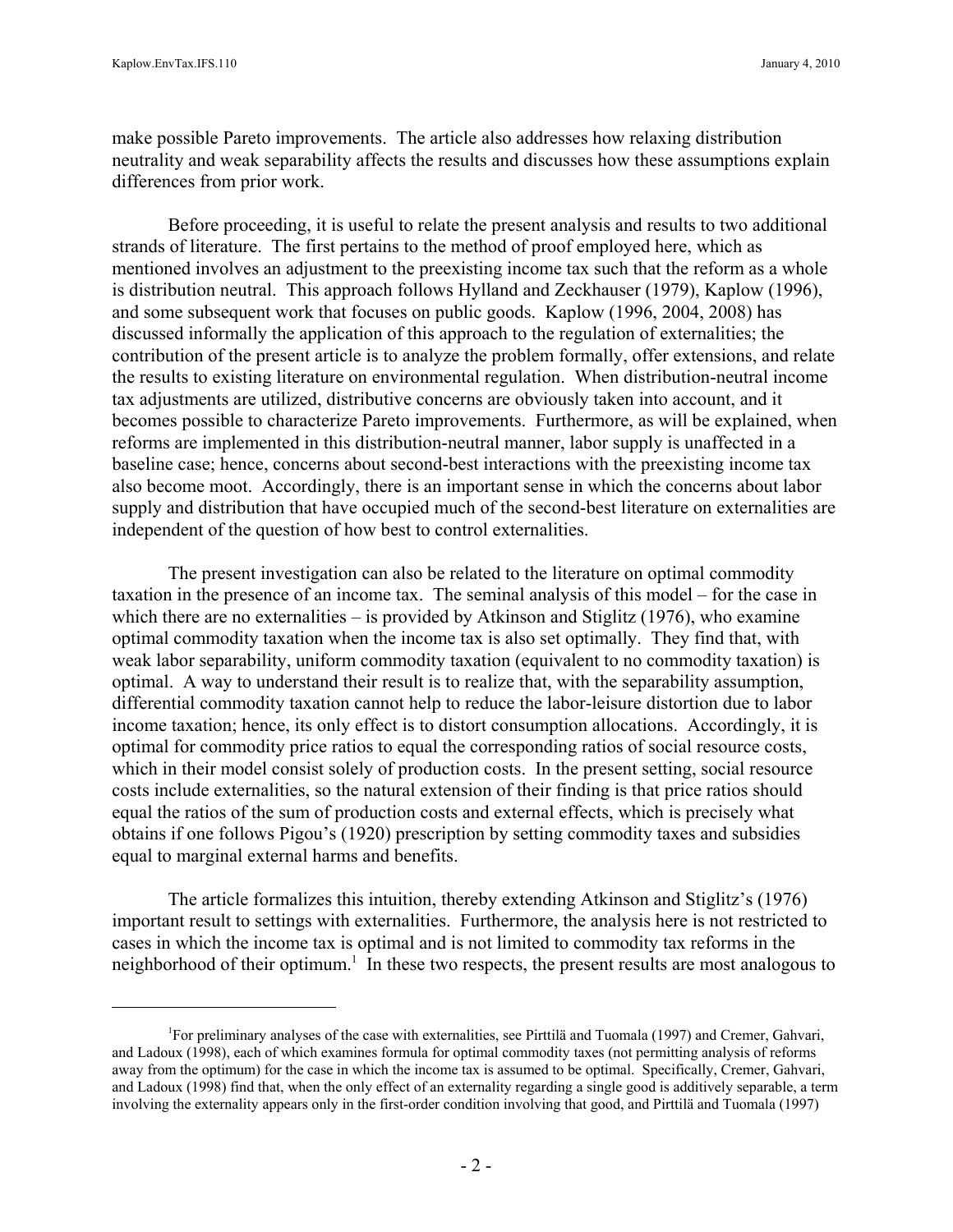make possible Pareto improvements. The article also addresses how relaxing distribution neutrality and weak separability affects the results and discusses how these assumptions explain differences from prior work.

Before proceeding, it is useful to relate the present analysis and results to two additional strands of literature. The first pertains to the method of proof employed here, which as mentioned involves an adjustment to the preexisting income tax such that the reform as a whole is distribution neutral. This approach follows Hylland and Zeckhauser (1979), Kaplow (1996), and some subsequent work that focuses on public goods. Kaplow (1996, 2004, 2008) has discussed informally the application of this approach to the regulation of externalities; the contribution of the present article is to analyze the problem formally, offer extensions, and relate the results to existing literature on environmental regulation. When distribution-neutral income tax adjustments are utilized, distributive concerns are obviously taken into account, and it becomes possible to characterize Pareto improvements. Furthermore, as will be explained, when reforms are implemented in this distribution-neutral manner, labor supply is unaffected in a baseline case; hence, concerns about second-best interactions with the preexisting income tax also become moot. Accordingly, there is an important sense in which the concerns about labor supply and distribution that have occupied much of the second-best literature on externalities are independent of the question of how best to control externalities.

The present investigation can also be related to the literature on optimal commodity taxation in the presence of an income tax. The seminal analysis of this model – for the case in which there are no externalities – is provided by Atkinson and Stiglitz (1976), who examine optimal commodity taxation when the income tax is also set optimally. They find that, with weak labor separability, uniform commodity taxation (equivalent to no commodity taxation) is optimal. A way to understand their result is to realize that, with the separability assumption, differential commodity taxation cannot help to reduce the labor-leisure distortion due to labor income taxation; hence, its only effect is to distort consumption allocations. Accordingly, it is optimal for commodity price ratios to equal the corresponding ratios of social resource costs, which in their model consist solely of production costs. In the present setting, social resource costs include externalities, so the natural extension of their finding is that price ratios should equal the ratios of the sum of production costs and external effects, which is precisely what obtains if one follows Pigou's (1920) prescription by setting commodity taxes and subsidies equal to marginal external harms and benefits.

The article formalizes this intuition, thereby extending Atkinson and Stiglitz's (1976) important result to settings with externalities. Furthermore, the analysis here is not restricted to cases in which the income tax is optimal and is not limited to commodity tax reforms in the neighborhood of their optimum.<sup>1</sup> In these two respects, the present results are most analogous to

<sup>1</sup> For preliminary analyses of the case with externalities, see Pirttilä and Tuomala (1997) and Cremer, Gahvari, and Ladoux (1998), each of which examines formula for optimal commodity taxes (not permitting analysis of reforms away from the optimum) for the case in which the income tax is assumed to be optimal. Specifically, Cremer, Gahvari, and Ladoux (1998) find that, when the only effect of an externality regarding a single good is additively separable, a term involving the externality appears only in the first-order condition involving that good, and Pirttilä and Tuomala (1997)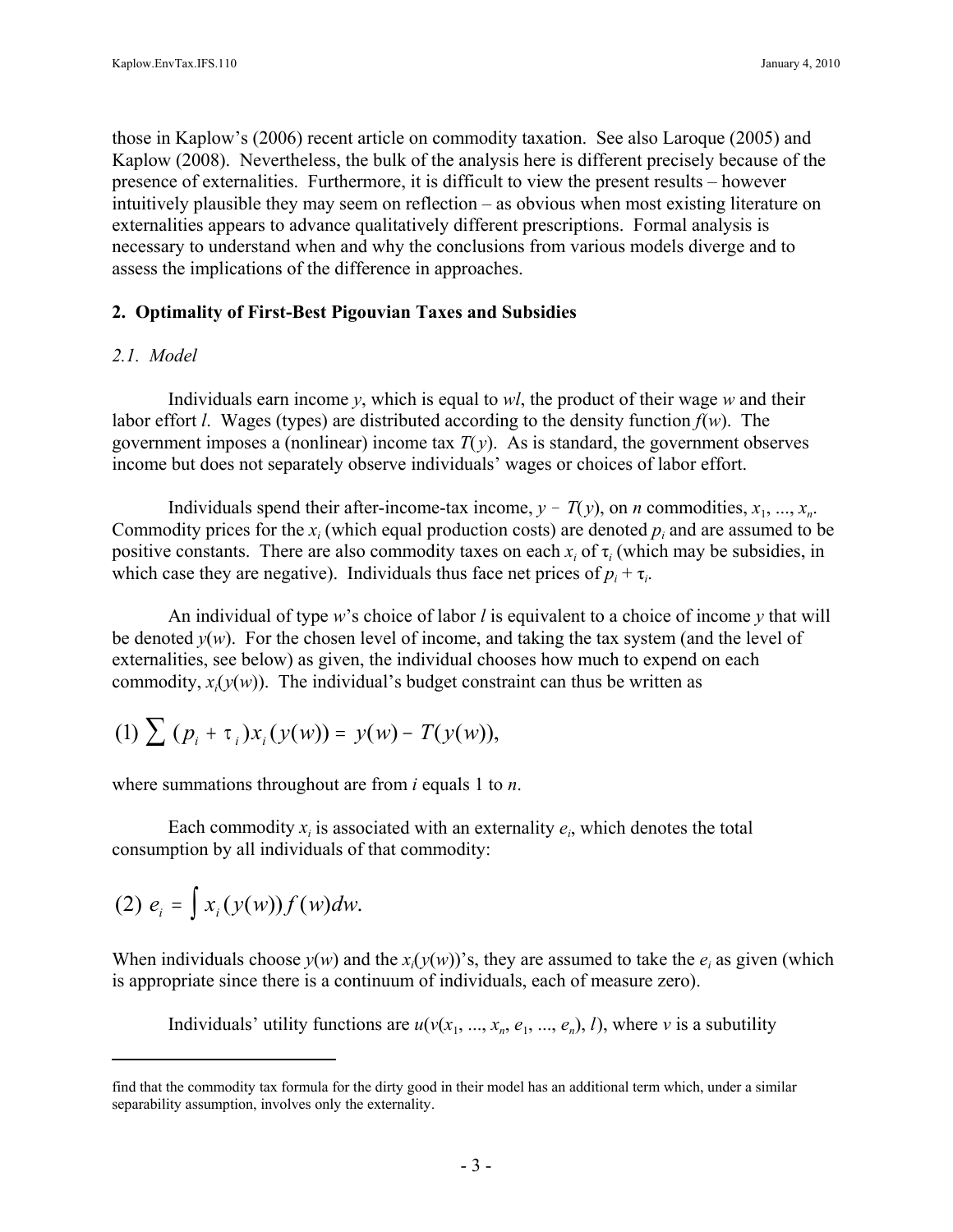those in Kaplow's (2006) recent article on commodity taxation. See also Laroque (2005) and Kaplow (2008). Nevertheless, the bulk of the analysis here is different precisely because of the presence of externalities. Furthermore, it is difficult to view the present results – however intuitively plausible they may seem on reflection – as obvious when most existing literature on externalities appears to advance qualitatively different prescriptions. Formal analysis is necessary to understand when and why the conclusions from various models diverge and to assess the implications of the difference in approaches.

#### **2. Optimality of First-Best Pigouvian Taxes and Subsidies**

#### *2.1. Model*

Individuals earn income *y*, which is equal to *wl*, the product of their wage *w* and their labor effort *l*. Wages (types) are distributed according to the density function *f*(*w*). The government imposes a (nonlinear) income tax  $T(y)$ . As is standard, the government observes income but does not separately observe individuals' wages or choices of labor effort.

Individuals spend their after-income-tax income,  $y - T(y)$ , on *n* commodities,  $x_1, ..., x_n$ . Commodity prices for the  $x_i$  (which equal production costs) are denoted  $p_i$  and are assumed to be positive constants. There are also commodity taxes on each  $x_i$  of  $\tau_i$  (which may be subsidies, in which case they are negative). Individuals thus face net prices of  $p_i + \tau_i$ .

An individual of type *w*'s choice of labor *l* is equivalent to a choice of income *y* that will be denoted  $y(w)$ . For the chosen level of income, and taking the tax system (and the level of externalities, see below) as given, the individual chooses how much to expend on each commodity,  $x_i(y(w))$ . The individual's budget constraint can thus be written as

(1) 
$$
\sum (p_i + \tau_i)x_i(y(w)) = y(w) - T(y(w)),
$$

where summations throughout are from *i* equals 1 to *n*.

Each commodity  $x_i$  is associated with an externality  $e_i$ , which denotes the total consumption by all individuals of that commodity:

(2) 
$$
e_i = \int x_i(y(w)) f(w) dw.
$$

When individuals choose  $y(w)$  and the  $x_i(y(w))$ 's, they are assumed to take the  $e_i$  as given (which is appropriate since there is a continuum of individuals, each of measure zero).

Individuals' utility functions are  $u(v(x_1, ..., x_n, e_1, ..., e_n), l)$ , where *v* is a subutility

find that the commodity tax formula for the dirty good in their model has an additional term which, under a similar separability assumption, involves only the externality.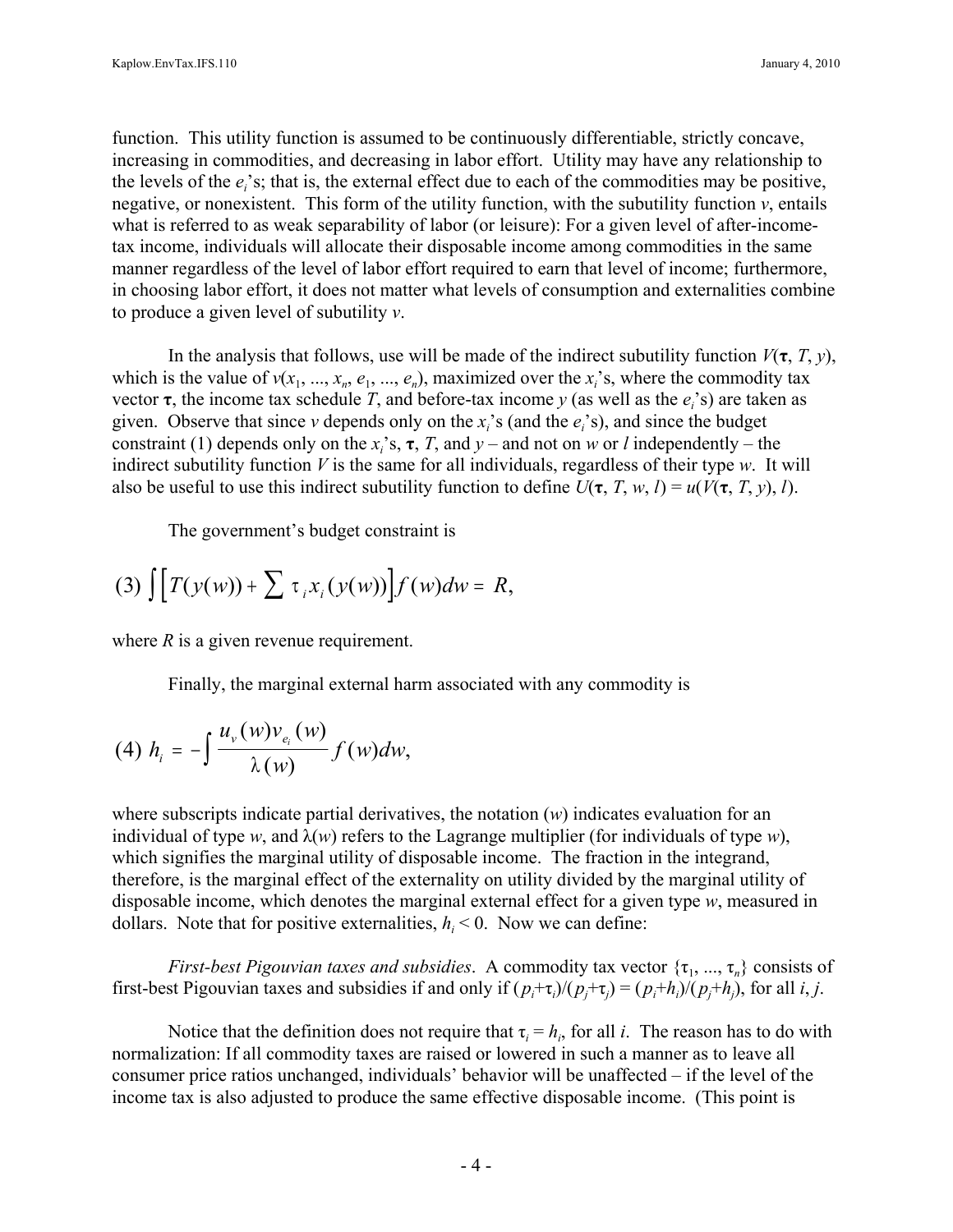function. This utility function is assumed to be continuously differentiable, strictly concave, increasing in commodities, and decreasing in labor effort. Utility may have any relationship to the levels of the  $e_i$ 's; that is, the external effect due to each of the commodities may be positive, negative, or nonexistent. This form of the utility function, with the subutility function *v*, entails what is referred to as weak separability of labor (or leisure): For a given level of after-incometax income, individuals will allocate their disposable income among commodities in the same manner regardless of the level of labor effort required to earn that level of income; furthermore, in choosing labor effort, it does not matter what levels of consumption and externalities combine to produce a given level of subutility *v*.

In the analysis that follows, use will be made of the indirect subutility function  $V(\tau, T, y)$ , which is the value of  $v(x_1, ..., x_n, e_1, ..., e_n)$ , maximized over the  $x_i$ 's, where the commodity tax vector  $\tau$ , the income tax schedule *T*, and before-tax income *y* (as well as the  $e_i$ 's) are taken as given. Observe that since *v* depends only on the  $x_i$ 's (and the  $e_i$ 's), and since the budget constraint (1) depends only on the  $x_i$ 's,  $\tau$ ,  $T$ , and  $y$  – and not on  $w$  or *l* independently – the indirect subutility function *V* is the same for all individuals, regardless of their type *w*. It will also be useful to use this indirect subutility function to define  $U(\tau, T, w, l) = u(V(\tau, T, y), l)$ .

The government's budget constraint is

(3) 
$$
\int \Big[ T(y(w)) + \sum \tau_i x_i(y(w)) \Big] f(w) dw = R,
$$

where *R* is a given revenue requirement.

Finally, the marginal external harm associated with any commodity is

$$
(4) h_{i} = -\int \frac{u_{v}(w)v_{e_{i}}(w)}{\lambda(w)} f(w)dw,
$$

where subscripts indicate partial derivatives, the notation (*w*) indicates evaluation for an individual of type  $w$ , and  $\lambda(w)$  refers to the Lagrange multiplier (for individuals of type  $w$ ), which signifies the marginal utility of disposable income. The fraction in the integrand, therefore, is the marginal effect of the externality on utility divided by the marginal utility of disposable income, which denotes the marginal external effect for a given type *w*, measured in dollars. Note that for positive externalities,  $h_i < 0$ . Now we can define:

*First-best Pigouvian taxes and subsidies.* A commodity tax vector  $\{\tau_1, ..., \tau_n\}$  consists of first-best Pigouvian taxes and subsidies if and only if  $(p_i+\tau_i)/(p_j+\tau_j) = (p_i+h_i)/(p_j+h_j)$ , for all *i*, *j*.

Notice that the definition does not require that  $\tau_i = h_i$ , for all *i*. The reason has to do with normalization: If all commodity taxes are raised or lowered in such a manner as to leave all consumer price ratios unchanged, individuals' behavior will be unaffected – if the level of the income tax is also adjusted to produce the same effective disposable income. (This point is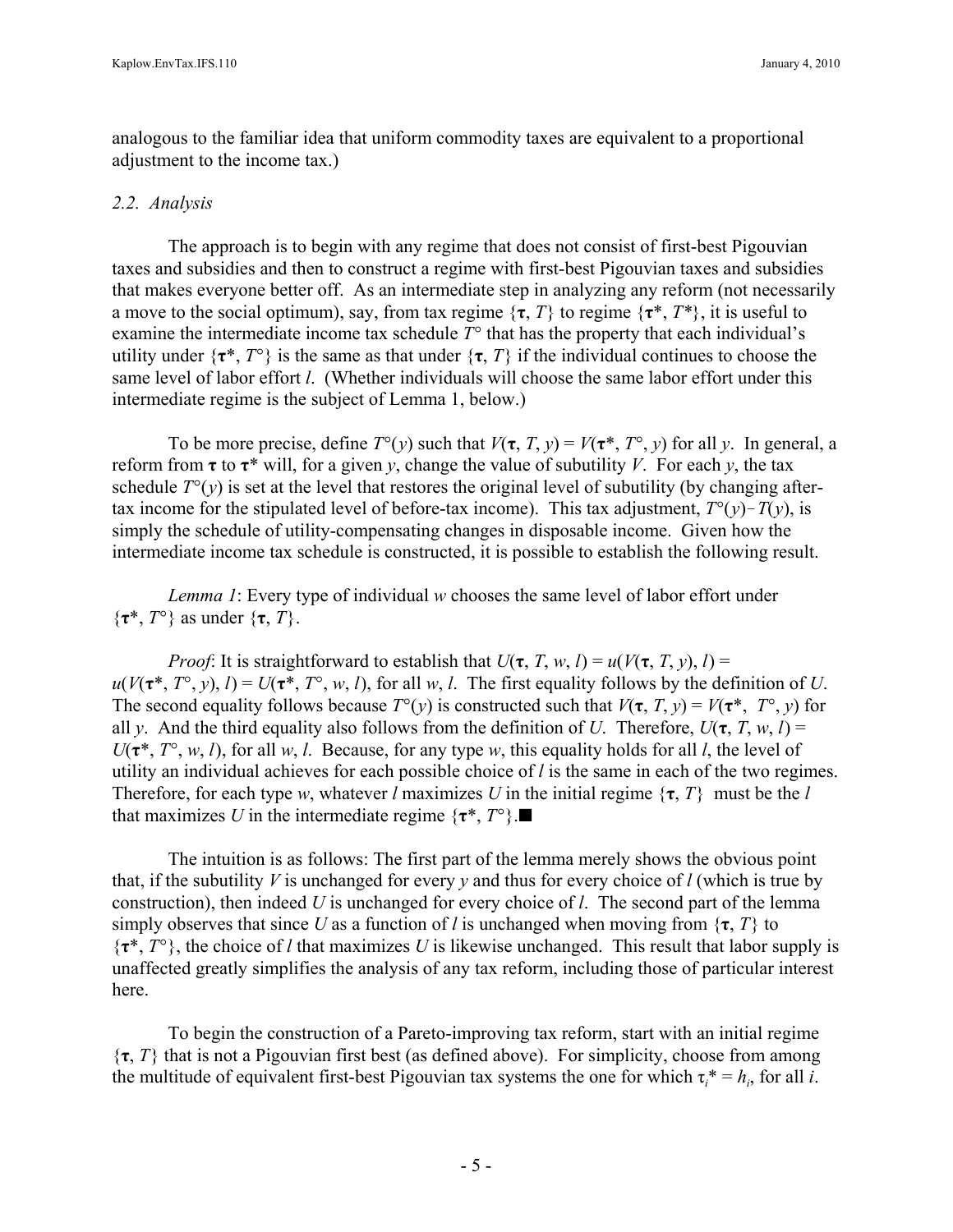analogous to the familiar idea that uniform commodity taxes are equivalent to a proportional adjustment to the income tax.)

#### *2.2. Analysis*

The approach is to begin with any regime that does not consist of first-best Pigouvian taxes and subsidies and then to construct a regime with first-best Pigouvian taxes and subsidies that makes everyone better off. As an intermediate step in analyzing any reform (not necessarily a move to the social optimum), say, from tax regime  $\{\tau, T\}$  to regime  $\{\tau^*, T^*\}$ , it is useful to examine the intermediate income tax schedule  $T^{\circ}$  that has the property that each individual's utility under  $\{\tau^*, T^{\circ}\}\$ is the same as that under  $\{\tau, T\}$  if the individual continues to choose the same level of labor effort *l*. (Whether individuals will choose the same labor effort under this intermediate regime is the subject of Lemma 1, below.)

To be more precise, define  $T^{\circ}(\gamma)$  such that  $V(\tau, T, \gamma) = V(\tau^*, T^{\circ}, \gamma)$  for all  $\gamma$ . In general, a reform from **τ** to **τ**\* will, for a given *y*, change the value of subutility *V*. For each *y*, the tax schedule  $T^{\circ}(y)$  is set at the level that restores the original level of subutility (by changing aftertax income for the stipulated level of before-tax income). This tax adjustment,  $T^{\circ}(\gamma)$ - $T(\gamma)$ , is simply the schedule of utility-compensating changes in disposable income. Given how the intermediate income tax schedule is constructed, it is possible to establish the following result.

*Lemma 1*: Every type of individual *w* chooses the same level of labor effort under {**τ**\*, *T*°} as under {**τ**, *T*}.

*Proof*: It is straightforward to establish that  $U(\tau, T, w, l) = u(V(\tau, T, v), l) =$  $u(V(\tau^*, T^{\circ}, y), l) = U(\tau^*, T^{\circ}, w, l)$ , for all *w*, *l*. The first equality follows by the definition of *U*. The second equality follows because  $T^{\circ}(\gamma)$  is constructed such that  $V(\tau, T, \gamma) = V(\tau^*, T^{\circ}, \gamma)$  for all *y*. And the third equality also follows from the definition of *U*. Therefore,  $U(\tau, T, w, l) =$  $U(\tau^*, T^{\circ}, w, l)$ , for all *w*, *l*. Because, for any type *w*, this equality holds for all *l*, the level of utility an individual achieves for each possible choice of *l* is the same in each of the two regimes. Therefore, for each type *w*, whatever *l* maximizes *U* in the initial regime  $\{\tau, T\}$  must be the *l* that maximizes *U* in the intermediate regime  $\{\tau^*, T^{\circ}\}$ .

The intuition is as follows: The first part of the lemma merely shows the obvious point that, if the subutility *V* is unchanged for every *y* and thus for every choice of *l* (which is true by construction), then indeed *U* is unchanged for every choice of *l*. The second part of the lemma simply observes that since *U* as a function of *l* is unchanged when moving from  $\{\tau, T\}$  to  ${\tau^*}, T^{\circ}$ , the choice of *l* that maximizes *U* is likewise unchanged. This result that labor supply is unaffected greatly simplifies the analysis of any tax reform, including those of particular interest here.

To begin the construction of a Pareto-improving tax reform, start with an initial regime  $\{\tau, T\}$  that is not a Pigouvian first best (as defined above). For simplicity, choose from among the multitude of equivalent first-best Pigouvian tax systems the one for which  $\tau_i^* = h_i$ , for all *i*.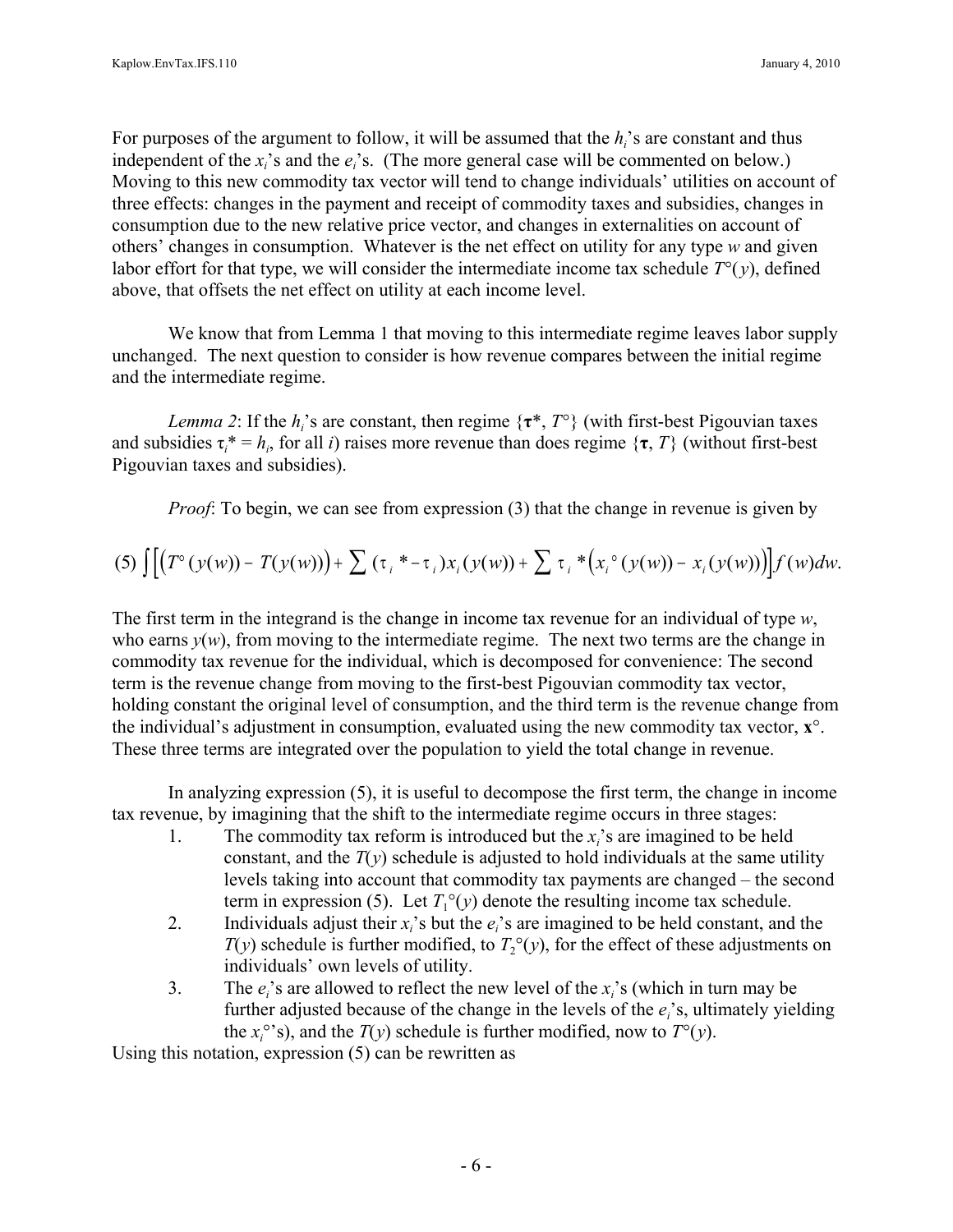For purposes of the argument to follow, it will be assumed that the  $h_i$ 's are constant and thus independent of the  $x_i$ 's and the  $e_i$ 's. (The more general case will be commented on below.) Moving to this new commodity tax vector will tend to change individuals' utilities on account of three effects: changes in the payment and receipt of commodity taxes and subsidies, changes in consumption due to the new relative price vector, and changes in externalities on account of others' changes in consumption. Whatever is the net effect on utility for any type *w* and given labor effort for that type, we will consider the intermediate income tax schedule  $T^{\circ}(\gamma)$ , defined above, that offsets the net effect on utility at each income level.

We know that from Lemma 1 that moving to this intermediate regime leaves labor supply unchanged. The next question to consider is how revenue compares between the initial regime and the intermediate regime.

*Lemma 2*: If the  $h_i$ 's are constant, then regime  $\{\tau^*, T^{\circ}\}\$  (with first-best Pigouvian taxes and subsidies  $\tau_i^* = h_i$ , for all *i*) raises more revenue than does regime  $\{\tau, T\}$  (without first-best Pigouvian taxes and subsidies).

*Proof*: To begin, we can see from expression (3) that the change in revenue is given by

$$
(5)\int \Big[\Big(T^{\circ}\big(y(w)\big)-T\big(y(w)\big)\Big)+\sum_{i}(t_i^*-\tau_i)x_i(y(w))+\sum_{i}t_i^*\Big(x_i^{\circ}\big(y(w)\big)-x_i\big(y(w)\big)\Big)\Big]f(w)dw.
$$

The first term in the integrand is the change in income tax revenue for an individual of type *w*, who earns  $y(w)$ , from moving to the intermediate regime. The next two terms are the change in commodity tax revenue for the individual, which is decomposed for convenience: The second term is the revenue change from moving to the first-best Pigouvian commodity tax vector, holding constant the original level of consumption, and the third term is the revenue change from the individual's adjustment in consumption, evaluated using the new commodity tax vector, **x**°. These three terms are integrated over the population to yield the total change in revenue.

In analyzing expression (5), it is useful to decompose the first term, the change in income tax revenue, by imagining that the shift to the intermediate regime occurs in three stages:

- 1. The commodity tax reform is introduced but the  $x_i$ 's are imagined to be held constant, and the  $T(y)$  schedule is adjusted to hold individuals at the same utility levels taking into account that commodity tax payments are changed – the second term in expression (5). Let  $T_1^{\circ}(y)$  denote the resulting income tax schedule.
- 2. Individuals adjust their  $x_i$ 's but the  $e_i$ 's are imagined to be held constant, and the  $T(y)$  schedule is further modified, to  $T_2^{\circ}(y)$ , for the effect of these adjustments on individuals' own levels of utility.
- 3. The  $e_i$ 's are allowed to reflect the new level of the  $x_i$ 's (which in turn may be further adjusted because of the change in the levels of the  $e_i$ 's, ultimately yielding the  $x_i^{\circ}$ 's), and the  $T(y)$  schedule is further modified, now to  $T^{\circ}(y)$ .

Using this notation, expression (5) can be rewritten as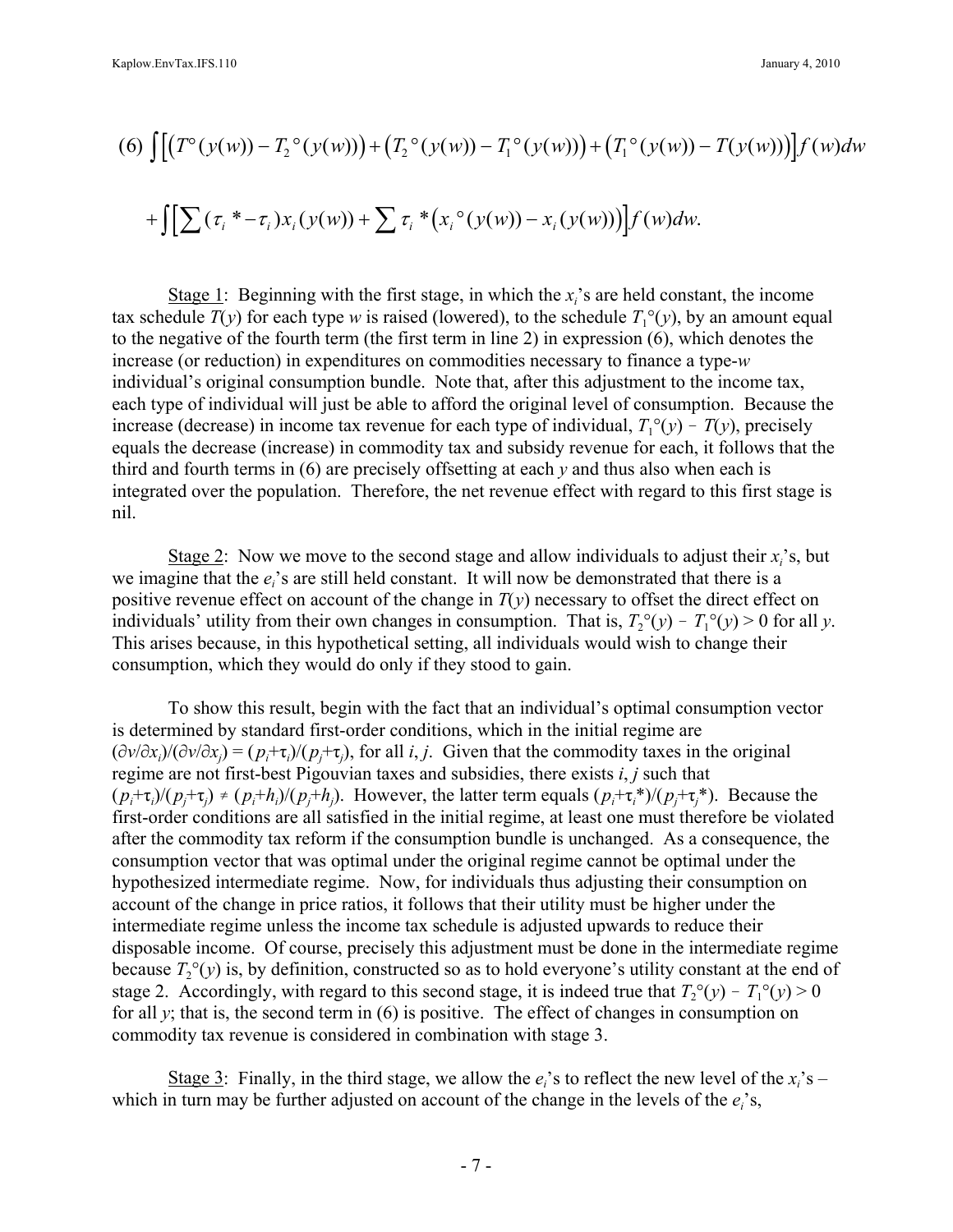$$
(6) \int \left[ \left( T^{\circ}(y(w)) - T_2^{\circ}(y(w)) \right) + \left( T_2^{\circ}(y(w)) - T_1^{\circ}(y(w)) \right) + \left( T_1^{\circ}(y(w)) - T(y(w)) \right) \right] f(w) dw
$$
  
+ 
$$
\int \left[ \sum (\tau_i^* - \tau_i) x_i(y(w)) + \sum \tau_i^* (x_i^{\circ}(y(w)) - x_i(y(w))) \right] f(w) dw.
$$

Stage 1: Beginning with the first stage, in which the  $x_i$ 's are held constant, the income tax schedule  $T(y)$  for each type *w* is raised (lowered), to the schedule  $T_1^{\circ}(y)$ , by an amount equal to the negative of the fourth term (the first term in line 2) in expression (6), which denotes the increase (or reduction) in expenditures on commodities necessary to finance a type-*w* individual's original consumption bundle. Note that, after this adjustment to the income tax, each type of individual will just be able to afford the original level of consumption. Because the increase (decrease) in income tax revenue for each type of individual,  $T_1^{\circ}(y) - T(y)$ , precisely equals the decrease (increase) in commodity tax and subsidy revenue for each, it follows that the third and fourth terms in  $(6)$  are precisely offsetting at each  $\gamma$  and thus also when each is integrated over the population. Therefore, the net revenue effect with regard to this first stage is nil.

Stage 2: Now we move to the second stage and allow individuals to adjust their  $x_i$ 's, but we imagine that the  $e_i$ 's are still held constant. It will now be demonstrated that there is a positive revenue effect on account of the change in  $T(y)$  necessary to offset the direct effect on individuals' utility from their own changes in consumption. That is,  $T_2^{\circ}(y) - T_1^{\circ}(y) > 0$  for all *y*. This arises because, in this hypothetical setting, all individuals would wish to change their consumption, which they would do only if they stood to gain.

To show this result, begin with the fact that an individual's optimal consumption vector is determined by standard first-order conditions, which in the initial regime are  $(\partial v/\partial x_i)/(\partial v/\partial x_j) = (p_i+\tau_i)/(p_j+\tau_j)$ , for all *i*, *j*. Given that the commodity taxes in the original regime are not first-best Pigouvian taxes and subsidies, there exists *i*, *j* such that  $(p_i+\tau_i)/(p_j+\tau_j) \neq (p_i+h_i)/(p_j+h_j)$ . However, the latter term equals  $(p_i+\tau_i^*)/(p_j+\tau_j^*)$ . Because the first-order conditions are all satisfied in the initial regime, at least one must therefore be violated after the commodity tax reform if the consumption bundle is unchanged. As a consequence, the consumption vector that was optimal under the original regime cannot be optimal under the hypothesized intermediate regime. Now, for individuals thus adjusting their consumption on account of the change in price ratios, it follows that their utility must be higher under the intermediate regime unless the income tax schedule is adjusted upwards to reduce their disposable income. Of course, precisely this adjustment must be done in the intermediate regime because  $T_2^{\circ}(\gamma)$  is, by definition, constructed so as to hold everyone's utility constant at the end of stage 2. Accordingly, with regard to this second stage, it is indeed true that  $T_2^{\circ}(y) - T_1^{\circ}(y) > 0$ for all  $y$ ; that is, the second term in (6) is positive. The effect of changes in consumption on commodity tax revenue is considered in combination with stage 3.

Stage 3: Finally, in the third stage, we allow the  $e_i$ 's to reflect the new level of the  $x_i$ 's – which in turn may be further adjusted on account of the change in the levels of the  $e_i$ 's,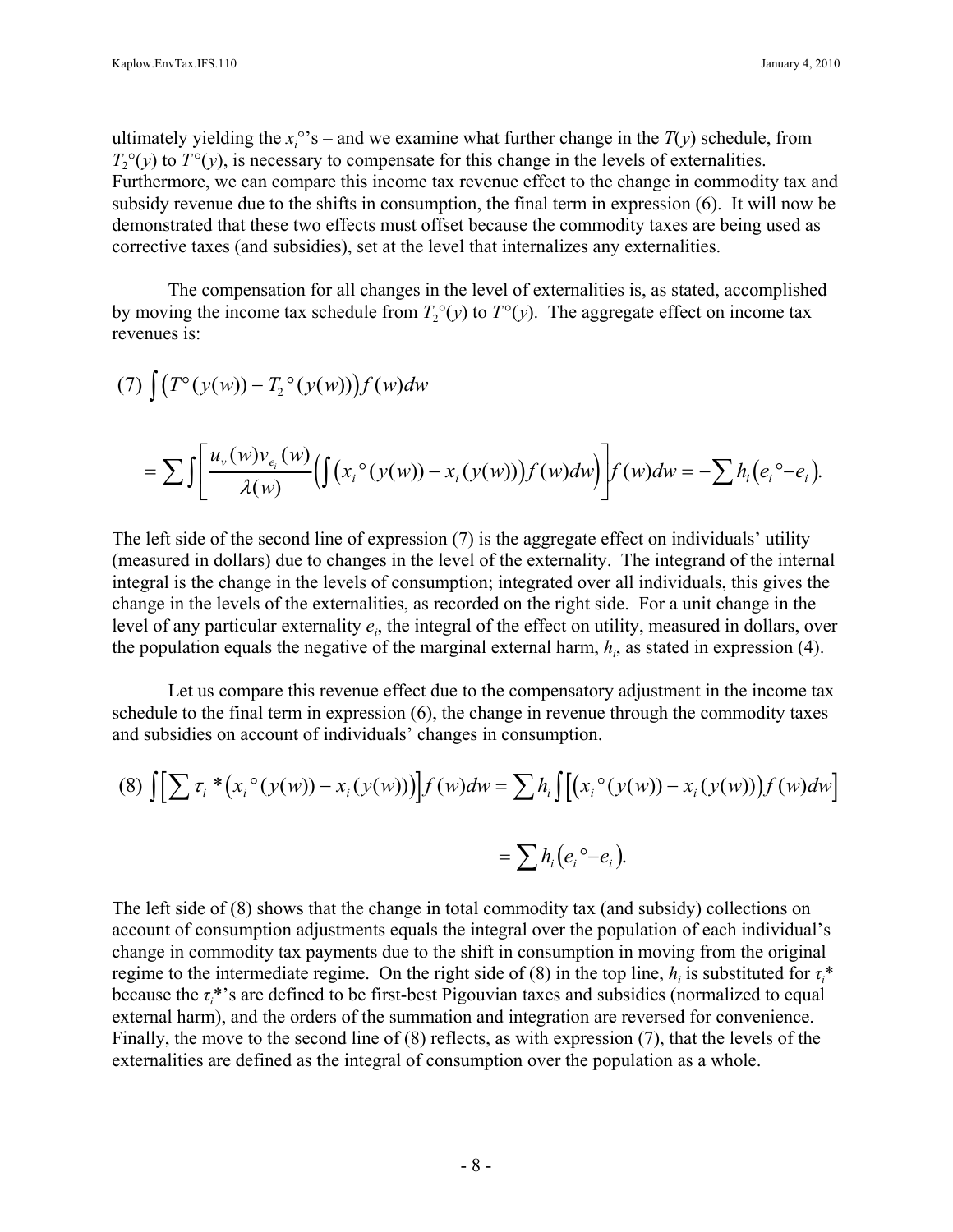ultimately yielding the  $x_i^{\circ}$ 's – and we examine what further change in the  $T(y)$  schedule, from  $T_2^{\circ}(y)$  to  $T^{\circ}(y)$ , is necessary to compensate for this change in the levels of externalities. Furthermore, we can compare this income tax revenue effect to the change in commodity tax and subsidy revenue due to the shifts in consumption, the final term in expression (6). It will now be demonstrated that these two effects must offset because the commodity taxes are being used as corrective taxes (and subsidies), set at the level that internalizes any externalities.

The compensation for all changes in the level of externalities is, as stated, accomplished by moving the income tax schedule from  $T_2^{\circ}(y)$  to  $T^{\circ}(y)$ . The aggregate effect on income tax revenues is:

$$
(7) \int (T^{\circ}(y(w)) - T_2^{\circ}(y(w))) f(w) dw
$$
  
= 
$$
\sum \int \left[ \frac{u_y(w)v_{e_i}(w)}{\lambda(w)} \Big( \int (x_i^{\circ}(y(w)) - x_i(y(w))) f(w) dw \Big) \right] f(w) dw = - \sum h_i(e_i^{\circ} - e_i).
$$

The left side of the second line of expression (7) is the aggregate effect on individuals' utility (measured in dollars) due to changes in the level of the externality. The integrand of the internal integral is the change in the levels of consumption; integrated over all individuals, this gives the change in the levels of the externalities, as recorded on the right side. For a unit change in the level of any particular externality  $e_i$ , the integral of the effect on utility, measured in dollars, over the population equals the negative of the marginal external harm,  $h_i$ , as stated in expression (4).

Let us compare this revenue effect due to the compensatory adjustment in the income tax schedule to the final term in expression (6), the change in revenue through the commodity taxes and subsidies on account of individuals' changes in consumption.

(8) 
$$
\int \left[ \sum \tau_i^* \left( x_i^{\circ}(y(w)) - x_i(y(w)) \right) \right] f(w) dw = \sum h_i \int \left[ \left( x_i^{\circ}(y(w)) - x_i(y(w)) \right) f(w) dw \right]
$$

$$
= \sum h_i \left( e_i^{\circ} - e_i \right).
$$

The left side of (8) shows that the change in total commodity tax (and subsidy) collections on account of consumption adjustments equals the integral over the population of each individual's change in commodity tax payments due to the shift in consumption in moving from the original regime to the intermediate regime. On the right side of (8) in the top line,  $h_i$  is substituted for  $\tau_i^*$ because the *τ<sup>i</sup>* \*'s are defined to be first-best Pigouvian taxes and subsidies (normalized to equal external harm), and the orders of the summation and integration are reversed for convenience. Finally, the move to the second line of (8) reflects, as with expression (7), that the levels of the externalities are defined as the integral of consumption over the population as a whole.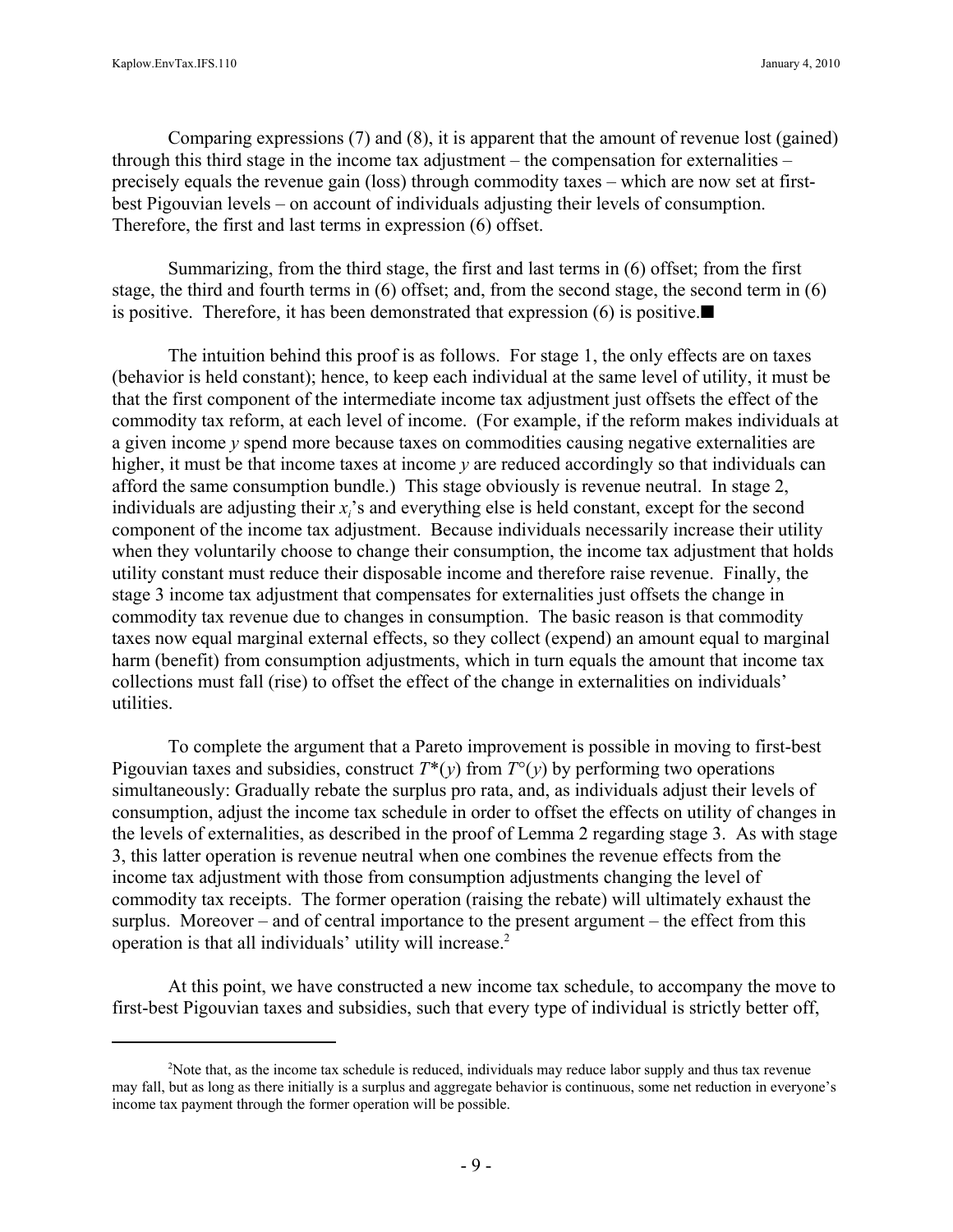Comparing expressions (7) and (8), it is apparent that the amount of revenue lost (gained) through this third stage in the income tax adjustment – the compensation for externalities – precisely equals the revenue gain (loss) through commodity taxes – which are now set at firstbest Pigouvian levels – on account of individuals adjusting their levels of consumption. Therefore, the first and last terms in expression (6) offset.

Summarizing, from the third stage, the first and last terms in (6) offset; from the first stage, the third and fourth terms in (6) offset; and, from the second stage, the second term in (6) is positive. Therefore, it has been demonstrated that expression  $(6)$  is positive.

The intuition behind this proof is as follows. For stage 1, the only effects are on taxes (behavior is held constant); hence, to keep each individual at the same level of utility, it must be that the first component of the intermediate income tax adjustment just offsets the effect of the commodity tax reform, at each level of income. (For example, if the reform makes individuals at a given income *y* spend more because taxes on commodities causing negative externalities are higher, it must be that income taxes at income *y* are reduced accordingly so that individuals can afford the same consumption bundle.) This stage obviously is revenue neutral. In stage 2, individuals are adjusting their  $x_i$ 's and everything else is held constant, except for the second component of the income tax adjustment. Because individuals necessarily increase their utility when they voluntarily choose to change their consumption, the income tax adjustment that holds utility constant must reduce their disposable income and therefore raise revenue. Finally, the stage 3 income tax adjustment that compensates for externalities just offsets the change in commodity tax revenue due to changes in consumption. The basic reason is that commodity taxes now equal marginal external effects, so they collect (expend) an amount equal to marginal harm (benefit) from consumption adjustments, which in turn equals the amount that income tax collections must fall (rise) to offset the effect of the change in externalities on individuals' utilities.

To complete the argument that a Pareto improvement is possible in moving to first-best Pigouvian taxes and subsidies, construct  $T^*(y)$  from  $T^{\circ}(y)$  by performing two operations simultaneously: Gradually rebate the surplus pro rata, and, as individuals adjust their levels of consumption, adjust the income tax schedule in order to offset the effects on utility of changes in the levels of externalities, as described in the proof of Lemma 2 regarding stage 3. As with stage 3, this latter operation is revenue neutral when one combines the revenue effects from the income tax adjustment with those from consumption adjustments changing the level of commodity tax receipts. The former operation (raising the rebate) will ultimately exhaust the surplus. Moreover – and of central importance to the present argument – the effect from this operation is that all individuals' utility will increase.2

At this point, we have constructed a new income tax schedule, to accompany the move to first-best Pigouvian taxes and subsidies, such that every type of individual is strictly better off,

<sup>2</sup> Note that, as the income tax schedule is reduced, individuals may reduce labor supply and thus tax revenue may fall, but as long as there initially is a surplus and aggregate behavior is continuous, some net reduction in everyone's income tax payment through the former operation will be possible.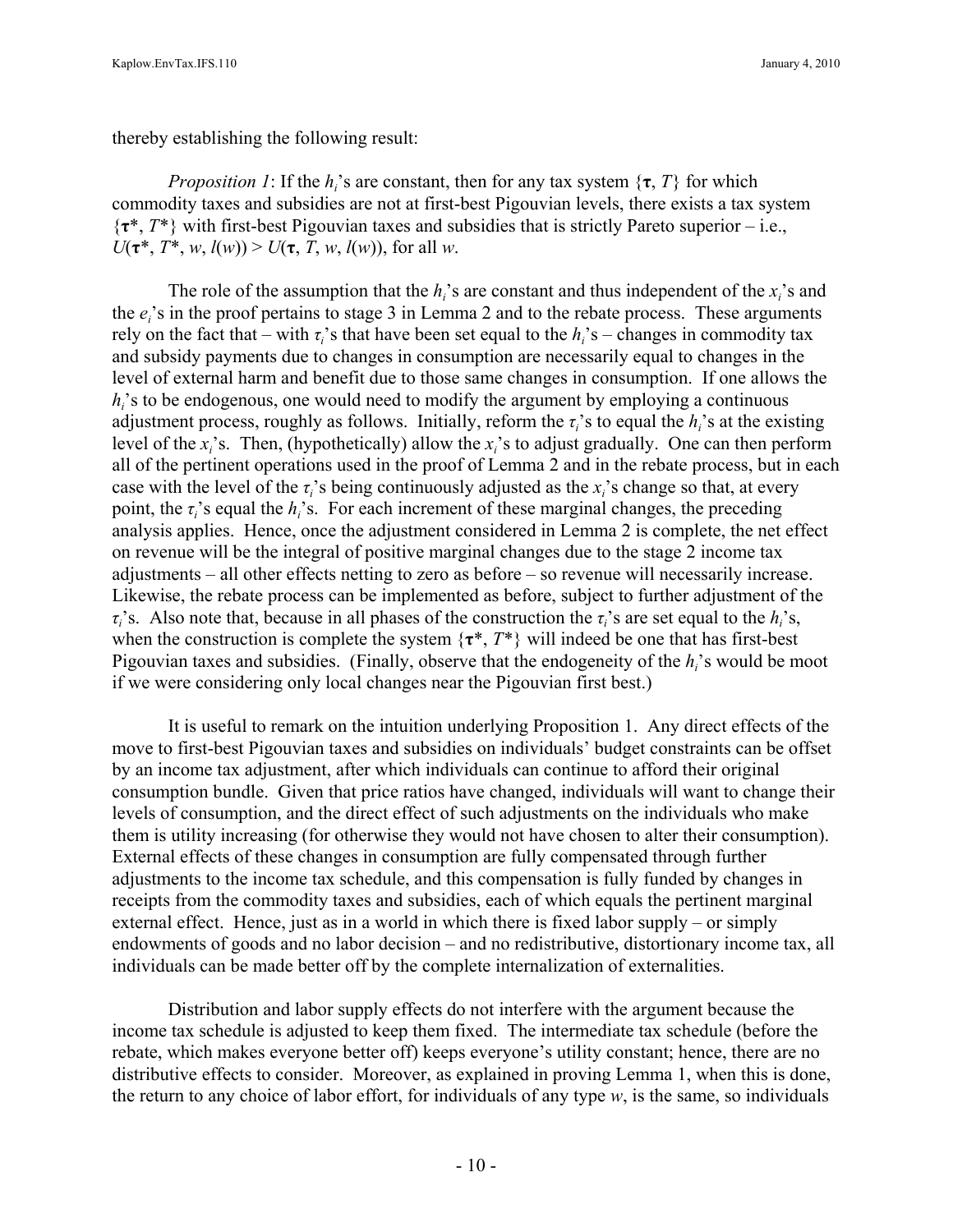thereby establishing the following result:

*Proposition 1*: If the  $h_i$ 's are constant, then for any tax system  $\{\tau, T\}$  for which commodity taxes and subsidies are not at first-best Pigouvian levels, there exists a tax system  $\{\tau^*, T^*\}$  with first-best Pigouvian taxes and subsidies that is strictly Pareto superior – i.e.,  $U(\tau^*, T^*, w, l(w)) > U(\tau, T, w, l(w))$ , for all *w*.

The role of the assumption that the  $h_i$ 's are constant and thus independent of the  $x_i$ 's and the  $e_i$ 's in the proof pertains to stage 3 in Lemma 2 and to the rebate process. These arguments rely on the fact that – with  $\tau$ <sup>'</sup> is that have been set equal to the  $h$ <sup>'</sup> is – changes in commodity tax and subsidy payments due to changes in consumption are necessarily equal to changes in the level of external harm and benefit due to those same changes in consumption. If one allows the *h<sub>i</sub>*'s to be endogenous, one would need to modify the argument by employing a continuous adjustment process, roughly as follows. Initially, reform the  $\tau_i$ 's to equal the  $h_i$ 's at the existing level of the  $x_i$ 's. Then, (hypothetically) allow the  $x_i$ 's to adjust gradually. One can then perform all of the pertinent operations used in the proof of Lemma 2 and in the rebate process, but in each case with the level of the  $\tau_i$ 's being continuously adjusted as the  $x_i$ 's change so that, at every point, the  $\tau_i$ 's equal the  $h_i$ 's. For each increment of these marginal changes, the preceding analysis applies. Hence, once the adjustment considered in Lemma 2 is complete, the net effect on revenue will be the integral of positive marginal changes due to the stage 2 income tax adjustments – all other effects netting to zero as before – so revenue will necessarily increase. Likewise, the rebate process can be implemented as before, subject to further adjustment of the  $\tau_i$ 's. Also note that, because in all phases of the construction the  $\tau_i$ 's are set equal to the  $h_i$ 's, when the construction is complete the system {**τ**\*, *T*\*} will indeed be one that has first-best Pigouvian taxes and subsidies. (Finally, observe that the endogeneity of the  $h_i$ 's would be moot if we were considering only local changes near the Pigouvian first best.)

It is useful to remark on the intuition underlying Proposition 1. Any direct effects of the move to first-best Pigouvian taxes and subsidies on individuals' budget constraints can be offset by an income tax adjustment, after which individuals can continue to afford their original consumption bundle. Given that price ratios have changed, individuals will want to change their levels of consumption, and the direct effect of such adjustments on the individuals who make them is utility increasing (for otherwise they would not have chosen to alter their consumption). External effects of these changes in consumption are fully compensated through further adjustments to the income tax schedule, and this compensation is fully funded by changes in receipts from the commodity taxes and subsidies, each of which equals the pertinent marginal external effect. Hence, just as in a world in which there is fixed labor supply – or simply endowments of goods and no labor decision – and no redistributive, distortionary income tax, all individuals can be made better off by the complete internalization of externalities.

Distribution and labor supply effects do not interfere with the argument because the income tax schedule is adjusted to keep them fixed. The intermediate tax schedule (before the rebate, which makes everyone better off) keeps everyone's utility constant; hence, there are no distributive effects to consider. Moreover, as explained in proving Lemma 1, when this is done, the return to any choice of labor effort, for individuals of any type  $w$ , is the same, so individuals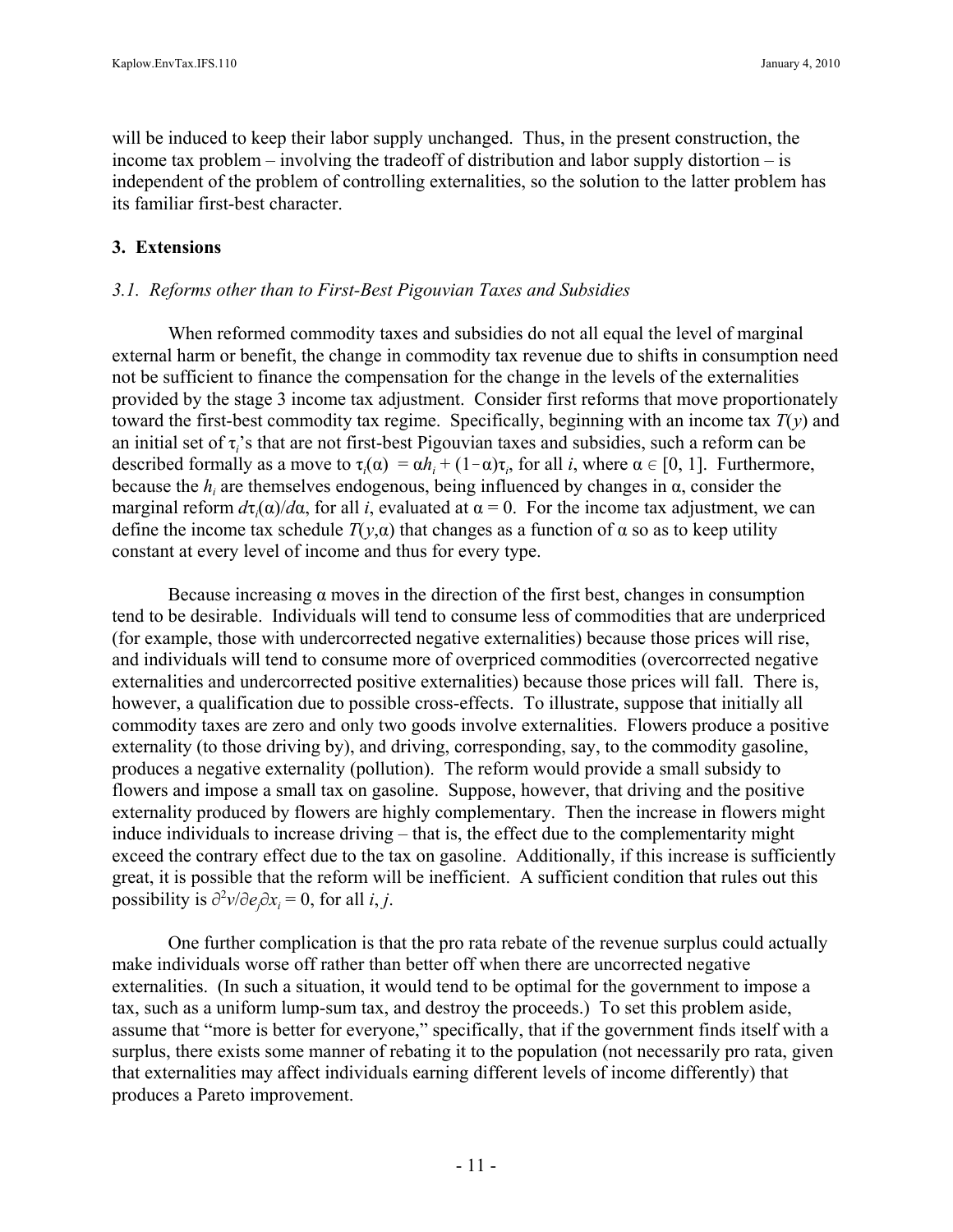will be induced to keep their labor supply unchanged. Thus, in the present construction, the income tax problem – involving the tradeoff of distribution and labor supply distortion – is independent of the problem of controlling externalities, so the solution to the latter problem has its familiar first-best character.

#### **3. Extensions**

#### *3.1. Reforms other than to First-Best Pigouvian Taxes and Subsidies*

When reformed commodity taxes and subsidies do not all equal the level of marginal external harm or benefit, the change in commodity tax revenue due to shifts in consumption need not be sufficient to finance the compensation for the change in the levels of the externalities provided by the stage 3 income tax adjustment. Consider first reforms that move proportionately toward the first-best commodity tax regime. Specifically, beginning with an income tax *T*(*y*) and an initial set of τ*<sup>i</sup>* 's that are not first-best Pigouvian taxes and subsidies, such a reform can be described formally as a move to  $\tau_i(\alpha) = \alpha h_i + (1-\alpha)\tau_i$ , for all *i*, where  $\alpha \in [0, 1]$ . Furthermore, because the  $h_i$  are themselves endogenous, being influenced by changes in  $\alpha$ , consider the marginal reform  $d\tau_i(\alpha)/d\alpha$ , for all *i*, evaluated at  $\alpha = 0$ . For the income tax adjustment, we can define the income tax schedule  $T(y, \alpha)$  that changes as a function of  $\alpha$  so as to keep utility constant at every level of income and thus for every type.

Because increasing  $\alpha$  moves in the direction of the first best, changes in consumption tend to be desirable. Individuals will tend to consume less of commodities that are underpriced (for example, those with undercorrected negative externalities) because those prices will rise, and individuals will tend to consume more of overpriced commodities (overcorrected negative externalities and undercorrected positive externalities) because those prices will fall. There is, however, a qualification due to possible cross-effects. To illustrate, suppose that initially all commodity taxes are zero and only two goods involve externalities. Flowers produce a positive externality (to those driving by), and driving, corresponding, say, to the commodity gasoline, produces a negative externality (pollution). The reform would provide a small subsidy to flowers and impose a small tax on gasoline. Suppose, however, that driving and the positive externality produced by flowers are highly complementary. Then the increase in flowers might induce individuals to increase driving – that is, the effect due to the complementarity might exceed the contrary effect due to the tax on gasoline. Additionally, if this increase is sufficiently great, it is possible that the reform will be inefficient. A sufficient condition that rules out this possibility is  $\partial^2 v / \partial e_j \partial x_i = 0$ , for all *i*, *j*.

One further complication is that the pro rata rebate of the revenue surplus could actually make individuals worse off rather than better off when there are uncorrected negative externalities. (In such a situation, it would tend to be optimal for the government to impose a tax, such as a uniform lump-sum tax, and destroy the proceeds.) To set this problem aside, assume that "more is better for everyone," specifically, that if the government finds itself with a surplus, there exists some manner of rebating it to the population (not necessarily pro rata, given that externalities may affect individuals earning different levels of income differently) that produces a Pareto improvement.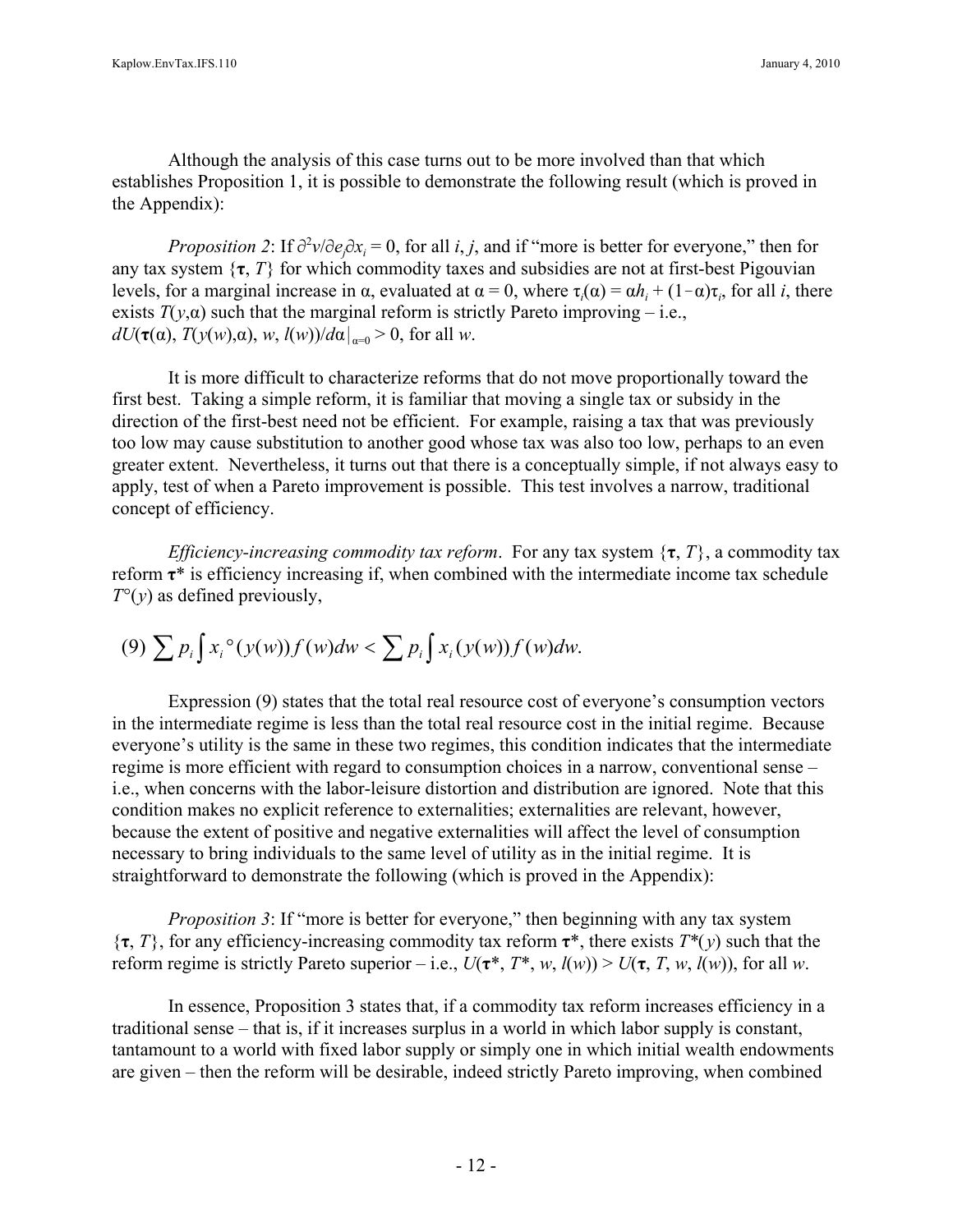Although the analysis of this case turns out to be more involved than that which establishes Proposition 1, it is possible to demonstrate the following result (which is proved in the Appendix):

*Proposition 2*: If  $\partial^2 v / \partial e_j \partial x_i = 0$ , for all *i*, *j*, and if "more is better for everyone," then for any tax system  $\{\tau, T\}$  for which commodity taxes and subsidies are not at first-best Pigouvian levels, for a marginal increase in α, evaluated at  $\alpha = 0$ , where  $\tau_i(\alpha) = \alpha h_i + (1 - \alpha)\tau_i$ , for all *i*, there exists  $T(y, \alpha)$  such that the marginal reform is strictly Pareto improving – i.e.,  $dU(\tau(\alpha), T(\gamma(w), \alpha), w, l(w))/d\alpha|_{\alpha=0} > 0$ , for all *w*.

It is more difficult to characterize reforms that do not move proportionally toward the first best. Taking a simple reform, it is familiar that moving a single tax or subsidy in the direction of the first-best need not be efficient. For example, raising a tax that was previously too low may cause substitution to another good whose tax was also too low, perhaps to an even greater extent. Nevertheless, it turns out that there is a conceptually simple, if not always easy to apply, test of when a Pareto improvement is possible. This test involves a narrow, traditional concept of efficiency.

*Efficiency-increasing commodity tax reform.* For any tax system  $\{\tau, T\}$ , a commodity tax reform **τ**\* is efficiency increasing if, when combined with the intermediate income tax schedule  $T^{\circ}(\nu)$  as defined previously,

$$
(9) \sum p_i \int x_i^{\circ}(y(w)) f(w) dw < \sum p_i \int x_i(y(w)) f(w) dw.
$$

Expression (9) states that the total real resource cost of everyone's consumption vectors in the intermediate regime is less than the total real resource cost in the initial regime. Because everyone's utility is the same in these two regimes, this condition indicates that the intermediate regime is more efficient with regard to consumption choices in a narrow, conventional sense – i.e., when concerns with the labor-leisure distortion and distribution are ignored. Note that this condition makes no explicit reference to externalities; externalities are relevant, however, because the extent of positive and negative externalities will affect the level of consumption necessary to bring individuals to the same level of utility as in the initial regime. It is straightforward to demonstrate the following (which is proved in the Appendix):

*Proposition 3*: If "more is better for everyone," then beginning with any tax system  ${\tau$ , *T*}, for any efficiency-increasing commodity tax reform  ${\tau}$ <sup>\*</sup>, there exists *T*<sup>\*</sup>(*y*) such that the reform regime is strictly Pareto superior – i.e.,  $U(\tau^*, T^*, w, l(w)) > U(\tau, T, w, l(w))$ , for all *w*.

In essence, Proposition 3 states that, if a commodity tax reform increases efficiency in a traditional sense – that is, if it increases surplus in a world in which labor supply is constant, tantamount to a world with fixed labor supply or simply one in which initial wealth endowments are given – then the reform will be desirable, indeed strictly Pareto improving, when combined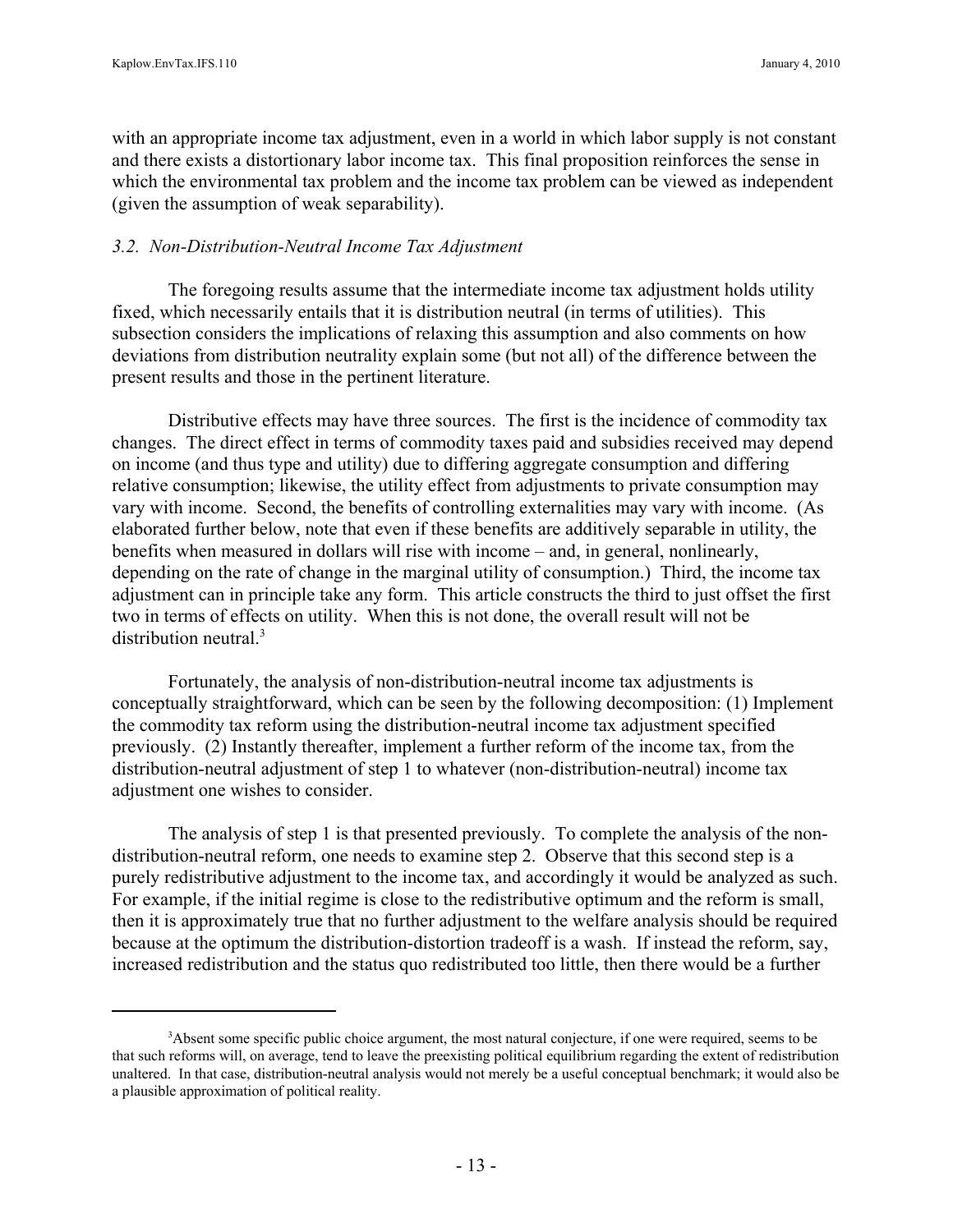with an appropriate income tax adjustment, even in a world in which labor supply is not constant and there exists a distortionary labor income tax. This final proposition reinforces the sense in which the environmental tax problem and the income tax problem can be viewed as independent (given the assumption of weak separability).

#### *3.2. Non-Distribution-Neutral Income Tax Adjustment*

The foregoing results assume that the intermediate income tax adjustment holds utility fixed, which necessarily entails that it is distribution neutral (in terms of utilities). This subsection considers the implications of relaxing this assumption and also comments on how deviations from distribution neutrality explain some (but not all) of the difference between the present results and those in the pertinent literature.

Distributive effects may have three sources. The first is the incidence of commodity tax changes. The direct effect in terms of commodity taxes paid and subsidies received may depend on income (and thus type and utility) due to differing aggregate consumption and differing relative consumption; likewise, the utility effect from adjustments to private consumption may vary with income. Second, the benefits of controlling externalities may vary with income. (As elaborated further below, note that even if these benefits are additively separable in utility, the benefits when measured in dollars will rise with income – and, in general, nonlinearly, depending on the rate of change in the marginal utility of consumption.) Third, the income tax adjustment can in principle take any form. This article constructs the third to just offset the first two in terms of effects on utility. When this is not done, the overall result will not be distribution neutral  $3$ 

Fortunately, the analysis of non-distribution-neutral income tax adjustments is conceptually straightforward, which can be seen by the following decomposition: (1) Implement the commodity tax reform using the distribution-neutral income tax adjustment specified previously. (2) Instantly thereafter, implement a further reform of the income tax, from the distribution-neutral adjustment of step 1 to whatever (non-distribution-neutral) income tax adjustment one wishes to consider.

The analysis of step 1 is that presented previously. To complete the analysis of the nondistribution-neutral reform, one needs to examine step 2. Observe that this second step is a purely redistributive adjustment to the income tax, and accordingly it would be analyzed as such. For example, if the initial regime is close to the redistributive optimum and the reform is small, then it is approximately true that no further adjustment to the welfare analysis should be required because at the optimum the distribution-distortion tradeoff is a wash. If instead the reform, say, increased redistribution and the status quo redistributed too little, then there would be a further

<sup>3</sup> Absent some specific public choice argument, the most natural conjecture, if one were required, seems to be that such reforms will, on average, tend to leave the preexisting political equilibrium regarding the extent of redistribution unaltered. In that case, distribution-neutral analysis would not merely be a useful conceptual benchmark; it would also be a plausible approximation of political reality.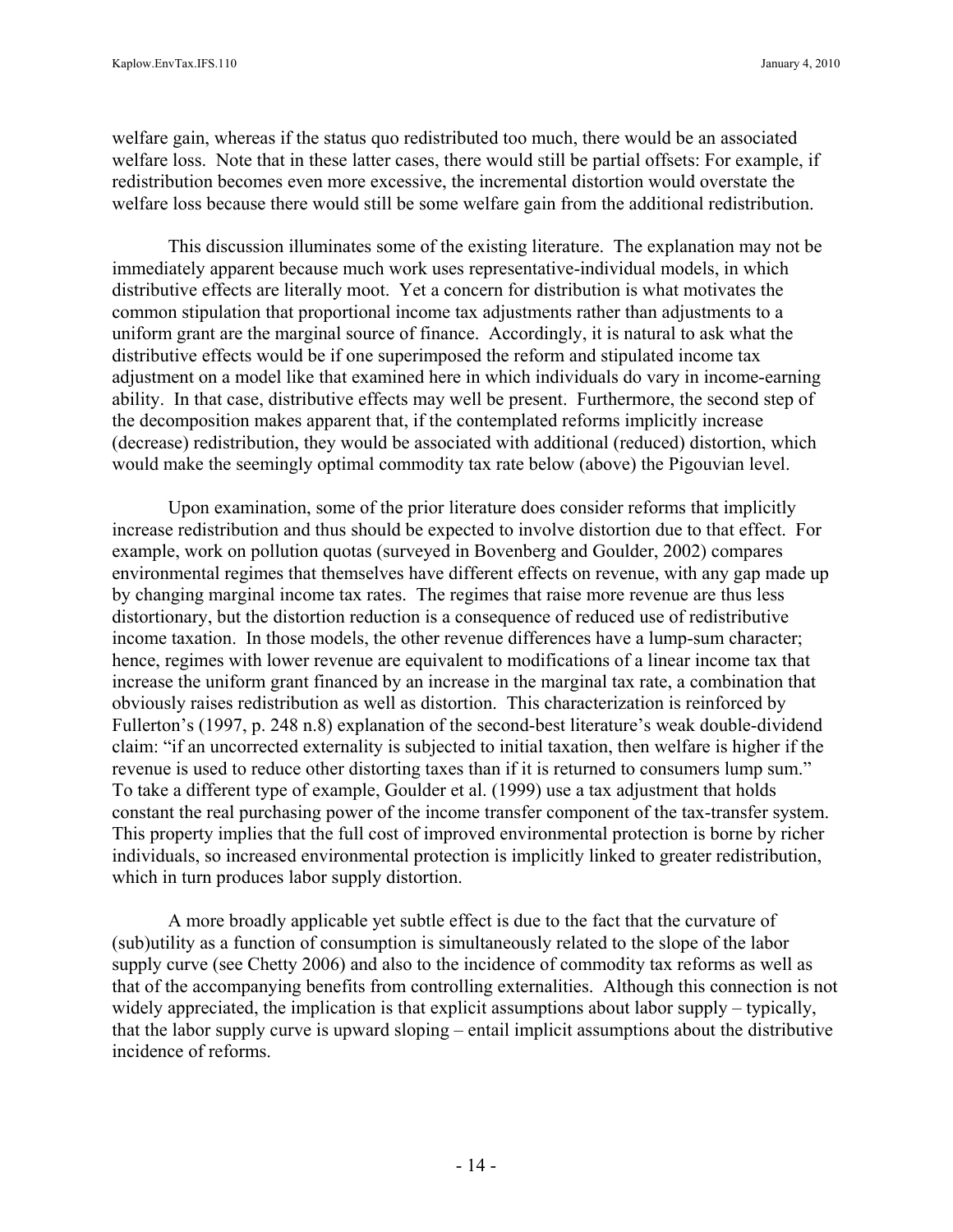welfare gain, whereas if the status quo redistributed too much, there would be an associated welfare loss. Note that in these latter cases, there would still be partial offsets: For example, if redistribution becomes even more excessive, the incremental distortion would overstate the welfare loss because there would still be some welfare gain from the additional redistribution.

This discussion illuminates some of the existing literature. The explanation may not be immediately apparent because much work uses representative-individual models, in which distributive effects are literally moot. Yet a concern for distribution is what motivates the common stipulation that proportional income tax adjustments rather than adjustments to a uniform grant are the marginal source of finance. Accordingly, it is natural to ask what the distributive effects would be if one superimposed the reform and stipulated income tax adjustment on a model like that examined here in which individuals do vary in income-earning ability. In that case, distributive effects may well be present. Furthermore, the second step of the decomposition makes apparent that, if the contemplated reforms implicitly increase (decrease) redistribution, they would be associated with additional (reduced) distortion, which would make the seemingly optimal commodity tax rate below (above) the Pigouvian level.

Upon examination, some of the prior literature does consider reforms that implicitly increase redistribution and thus should be expected to involve distortion due to that effect. For example, work on pollution quotas (surveyed in Bovenberg and Goulder, 2002) compares environmental regimes that themselves have different effects on revenue, with any gap made up by changing marginal income tax rates. The regimes that raise more revenue are thus less distortionary, but the distortion reduction is a consequence of reduced use of redistributive income taxation. In those models, the other revenue differences have a lump-sum character; hence, regimes with lower revenue are equivalent to modifications of a linear income tax that increase the uniform grant financed by an increase in the marginal tax rate, a combination that obviously raises redistribution as well as distortion. This characterization is reinforced by Fullerton's (1997, p. 248 n.8) explanation of the second-best literature's weak double-dividend claim: "if an uncorrected externality is subjected to initial taxation, then welfare is higher if the revenue is used to reduce other distorting taxes than if it is returned to consumers lump sum." To take a different type of example, Goulder et al. (1999) use a tax adjustment that holds constant the real purchasing power of the income transfer component of the tax-transfer system. This property implies that the full cost of improved environmental protection is borne by richer individuals, so increased environmental protection is implicitly linked to greater redistribution, which in turn produces labor supply distortion.

A more broadly applicable yet subtle effect is due to the fact that the curvature of (sub)utility as a function of consumption is simultaneously related to the slope of the labor supply curve (see Chetty 2006) and also to the incidence of commodity tax reforms as well as that of the accompanying benefits from controlling externalities. Although this connection is not widely appreciated, the implication is that explicit assumptions about labor supply – typically, that the labor supply curve is upward sloping – entail implicit assumptions about the distributive incidence of reforms.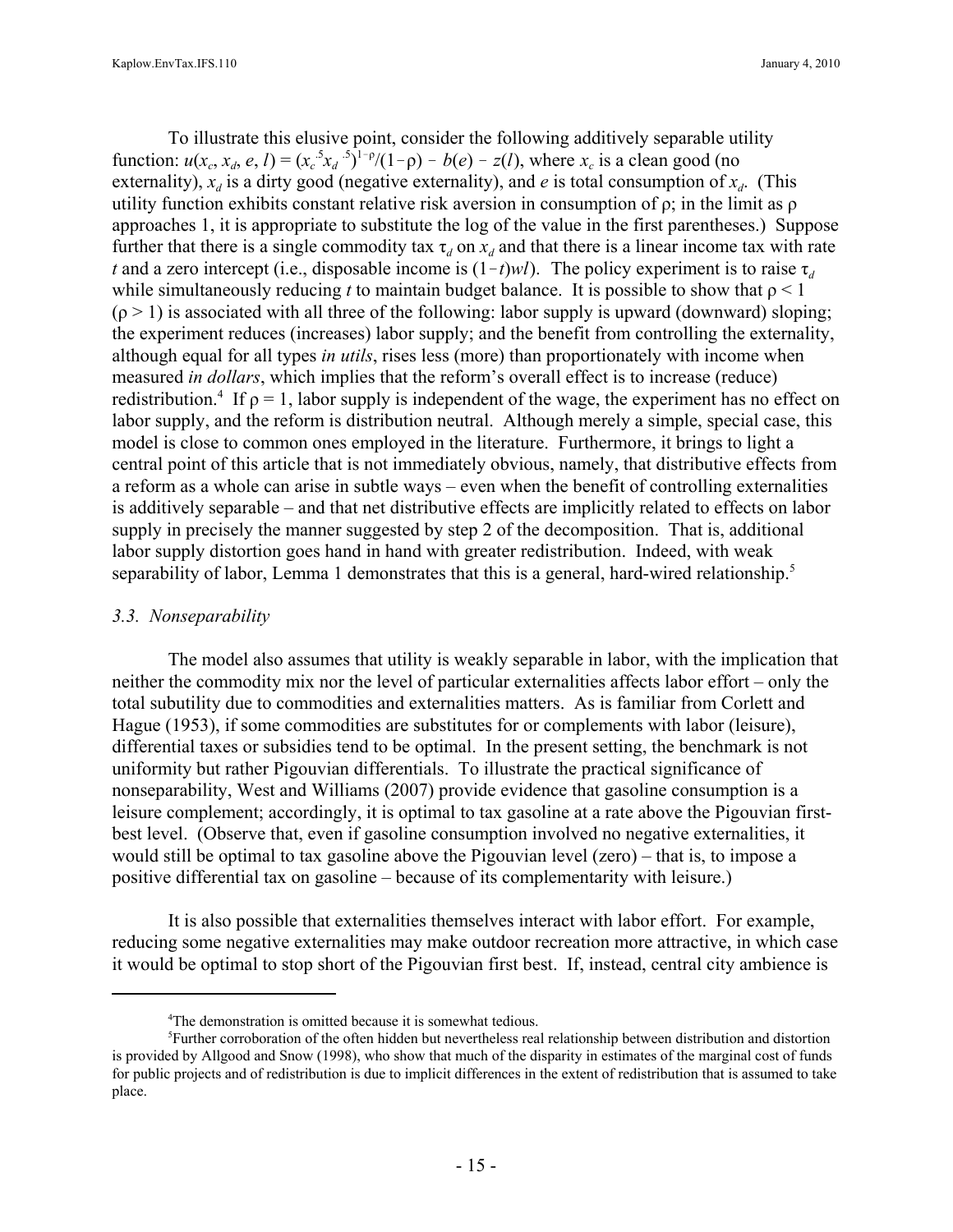To illustrate this elusive point, consider the following additively separable utility function:  $u(x_c, x_d, e, l) = (x_c^{5}x_d^{5})^{1-\rho}/(1-\rho) - b(e) - z(l)$ , where  $x_c$  is a clean good (no externality),  $x_d$  is a dirty good (negative externality), and *e* is total consumption of  $x_d$ . (This utility function exhibits constant relative risk aversion in consumption of  $\rho$ ; in the limit as  $\rho$ approaches 1, it is appropriate to substitute the log of the value in the first parentheses.) Suppose further that there is a single commodity tax  $\tau_d$  on  $x_d$  and that there is a linear income tax with rate *t* and a zero intercept (i.e., disposable income is  $(1-t)wl$ ). The policy experiment is to raise  $\tau_d$ while simultaneously reducing *t* to maintain budget balance. It is possible to show that  $\rho < 1$  $(p > 1)$  is associated with all three of the following: labor supply is upward (downward) sloping; the experiment reduces (increases) labor supply; and the benefit from controlling the externality, although equal for all types *in utils*, rises less (more) than proportionately with income when measured *in dollars*, which implies that the reform's overall effect is to increase (reduce) redistribution.<sup>4</sup> If  $\rho = 1$ , labor supply is independent of the wage, the experiment has no effect on labor supply, and the reform is distribution neutral. Although merely a simple, special case, this model is close to common ones employed in the literature. Furthermore, it brings to light a central point of this article that is not immediately obvious, namely, that distributive effects from a reform as a whole can arise in subtle ways – even when the benefit of controlling externalities is additively separable – and that net distributive effects are implicitly related to effects on labor supply in precisely the manner suggested by step 2 of the decomposition. That is, additional labor supply distortion goes hand in hand with greater redistribution. Indeed, with weak separability of labor, Lemma 1 demonstrates that this is a general, hard-wired relationship.<sup>5</sup>

#### *3.3. Nonseparability*

The model also assumes that utility is weakly separable in labor, with the implication that neither the commodity mix nor the level of particular externalities affects labor effort – only the total subutility due to commodities and externalities matters. As is familiar from Corlett and Hague (1953), if some commodities are substitutes for or complements with labor (leisure), differential taxes or subsidies tend to be optimal. In the present setting, the benchmark is not uniformity but rather Pigouvian differentials. To illustrate the practical significance of nonseparability, West and Williams (2007) provide evidence that gasoline consumption is a leisure complement; accordingly, it is optimal to tax gasoline at a rate above the Pigouvian firstbest level. (Observe that, even if gasoline consumption involved no negative externalities, it would still be optimal to tax gasoline above the Pigouvian level (zero) – that is, to impose a positive differential tax on gasoline – because of its complementarity with leisure.)

It is also possible that externalities themselves interact with labor effort. For example, reducing some negative externalities may make outdoor recreation more attractive, in which case it would be optimal to stop short of the Pigouvian first best. If, instead, central city ambience is

<sup>4</sup> The demonstration is omitted because it is somewhat tedious.

<sup>5</sup> Further corroboration of the often hidden but nevertheless real relationship between distribution and distortion is provided by Allgood and Snow (1998), who show that much of the disparity in estimates of the marginal cost of funds for public projects and of redistribution is due to implicit differences in the extent of redistribution that is assumed to take place.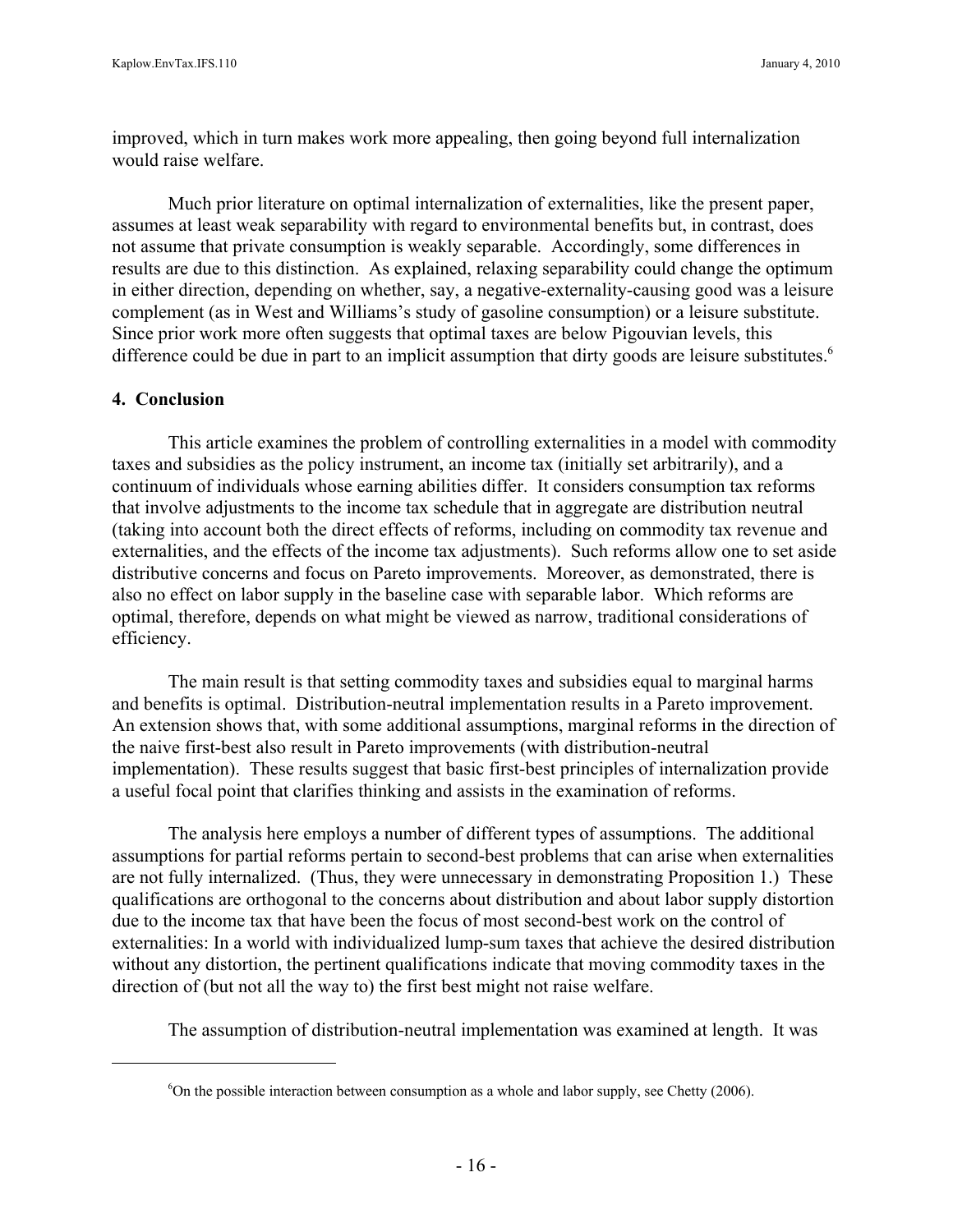improved, which in turn makes work more appealing, then going beyond full internalization would raise welfare.

Much prior literature on optimal internalization of externalities, like the present paper, assumes at least weak separability with regard to environmental benefits but, in contrast, does not assume that private consumption is weakly separable. Accordingly, some differences in results are due to this distinction. As explained, relaxing separability could change the optimum in either direction, depending on whether, say, a negative-externality-causing good was a leisure complement (as in West and Williams's study of gasoline consumption) or a leisure substitute. Since prior work more often suggests that optimal taxes are below Pigouvian levels, this difference could be due in part to an implicit assumption that dirty goods are leisure substitutes.<sup>6</sup>

#### **4. Conclusion**

This article examines the problem of controlling externalities in a model with commodity taxes and subsidies as the policy instrument, an income tax (initially set arbitrarily), and a continuum of individuals whose earning abilities differ. It considers consumption tax reforms that involve adjustments to the income tax schedule that in aggregate are distribution neutral (taking into account both the direct effects of reforms, including on commodity tax revenue and externalities, and the effects of the income tax adjustments). Such reforms allow one to set aside distributive concerns and focus on Pareto improvements. Moreover, as demonstrated, there is also no effect on labor supply in the baseline case with separable labor. Which reforms are optimal, therefore, depends on what might be viewed as narrow, traditional considerations of efficiency.

The main result is that setting commodity taxes and subsidies equal to marginal harms and benefits is optimal. Distribution-neutral implementation results in a Pareto improvement. An extension shows that, with some additional assumptions, marginal reforms in the direction of the naive first-best also result in Pareto improvements (with distribution-neutral implementation). These results suggest that basic first-best principles of internalization provide a useful focal point that clarifies thinking and assists in the examination of reforms.

The analysis here employs a number of different types of assumptions. The additional assumptions for partial reforms pertain to second-best problems that can arise when externalities are not fully internalized. (Thus, they were unnecessary in demonstrating Proposition 1.) These qualifications are orthogonal to the concerns about distribution and about labor supply distortion due to the income tax that have been the focus of most second-best work on the control of externalities: In a world with individualized lump-sum taxes that achieve the desired distribution without any distortion, the pertinent qualifications indicate that moving commodity taxes in the direction of (but not all the way to) the first best might not raise welfare.

The assumption of distribution-neutral implementation was examined at length. It was

<sup>6</sup> On the possible interaction between consumption as a whole and labor supply, see Chetty (2006).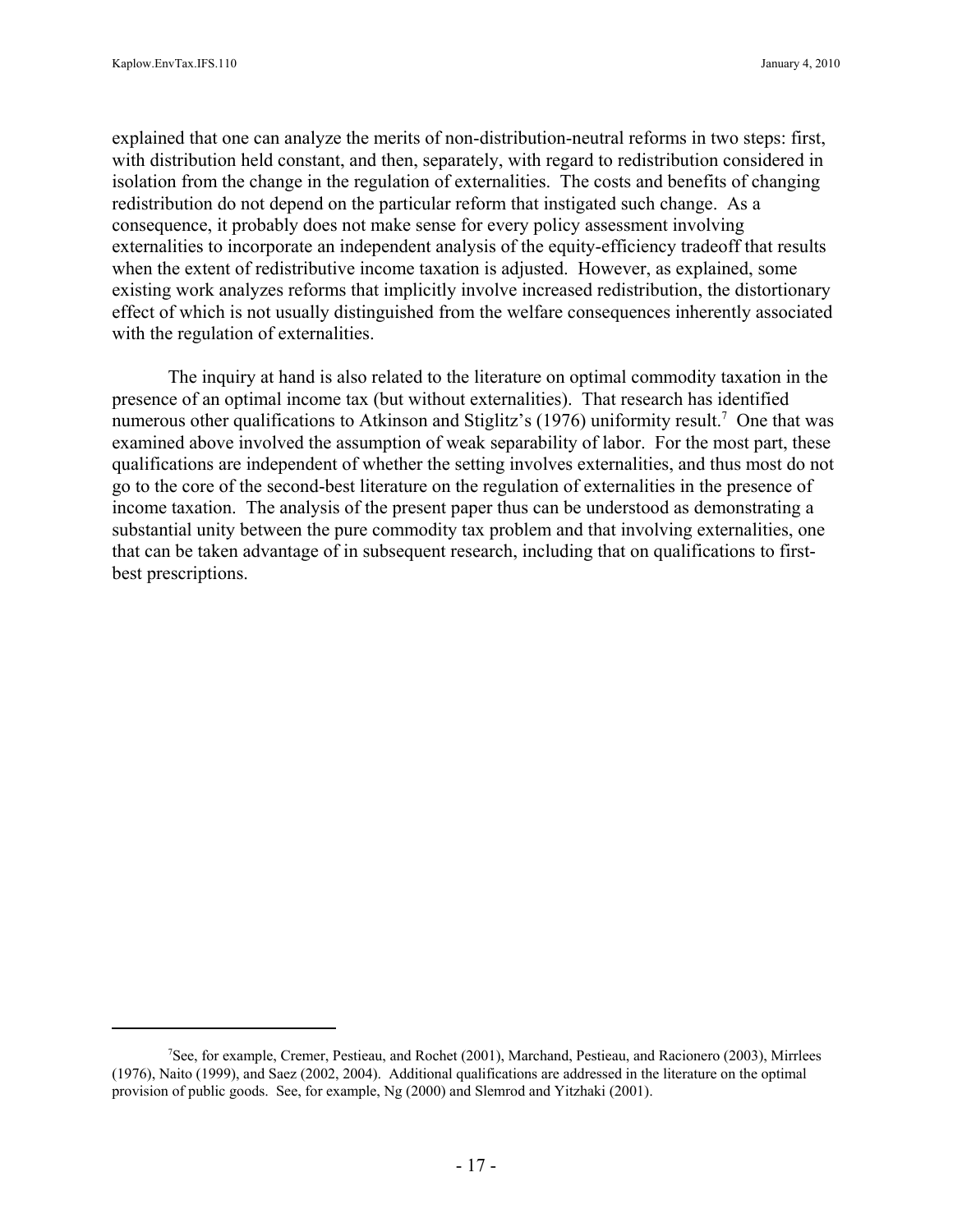explained that one can analyze the merits of non-distribution-neutral reforms in two steps: first, with distribution held constant, and then, separately, with regard to redistribution considered in isolation from the change in the regulation of externalities. The costs and benefits of changing redistribution do not depend on the particular reform that instigated such change. As a consequence, it probably does not make sense for every policy assessment involving externalities to incorporate an independent analysis of the equity-efficiency tradeoff that results when the extent of redistributive income taxation is adjusted. However, as explained, some existing work analyzes reforms that implicitly involve increased redistribution, the distortionary effect of which is not usually distinguished from the welfare consequences inherently associated with the regulation of externalities.

The inquiry at hand is also related to the literature on optimal commodity taxation in the presence of an optimal income tax (but without externalities). That research has identified numerous other qualifications to Atkinson and Stiglitz's (1976) uniformity result.<sup>7</sup> One that was examined above involved the assumption of weak separability of labor. For the most part, these qualifications are independent of whether the setting involves externalities, and thus most do not go to the core of the second-best literature on the regulation of externalities in the presence of income taxation. The analysis of the present paper thus can be understood as demonstrating a substantial unity between the pure commodity tax problem and that involving externalities, one that can be taken advantage of in subsequent research, including that on qualifications to firstbest prescriptions.

<sup>7</sup> See, for example, Cremer, Pestieau, and Rochet (2001), Marchand, Pestieau, and Racionero (2003), Mirrlees (1976), Naito (1999), and Saez (2002, 2004). Additional qualifications are addressed in the literature on the optimal provision of public goods. See, for example, Ng (2000) and Slemrod and Yitzhaki (2001).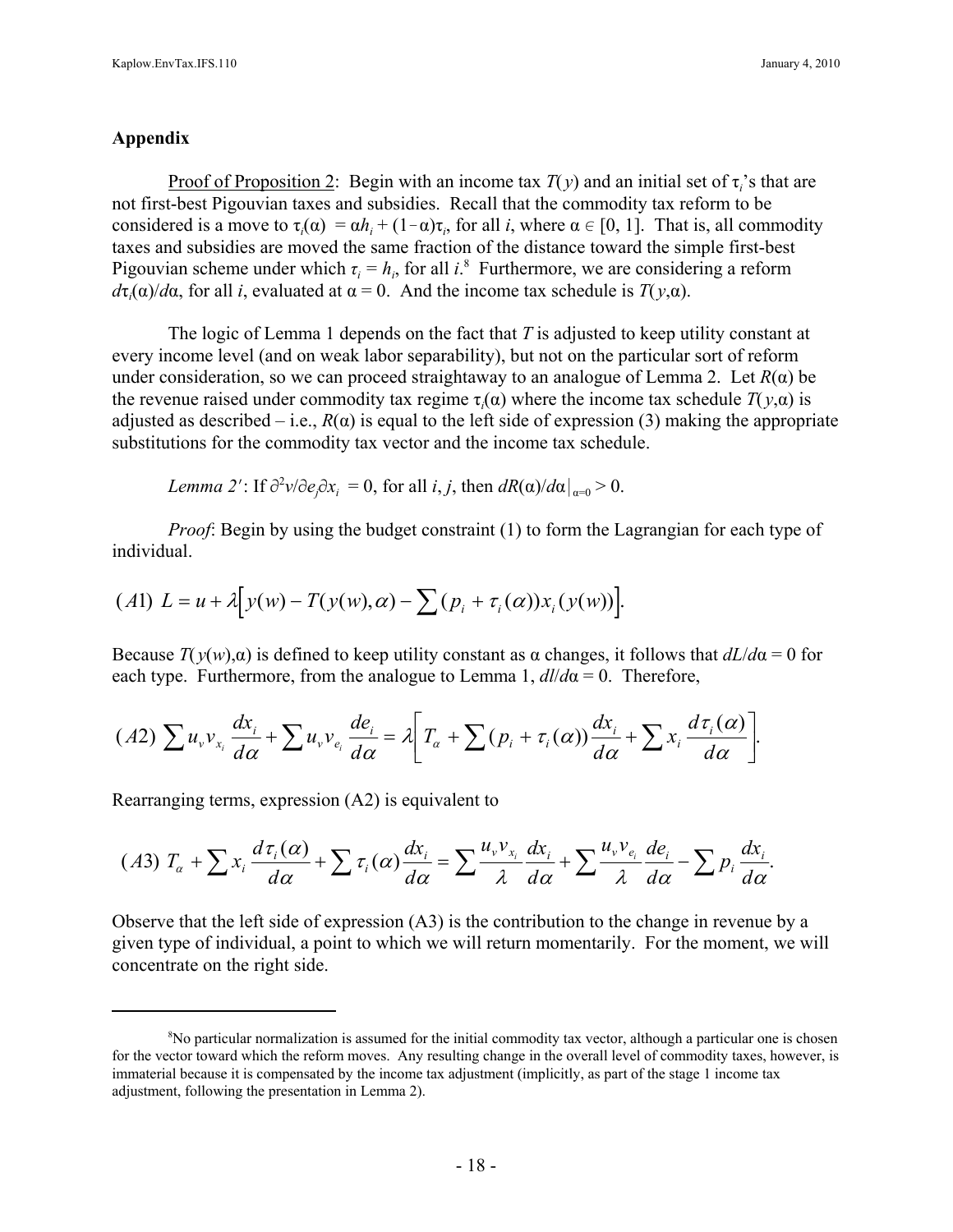## **Appendix**

Proof of Proposition 2: Begin with an income tax  $T(y)$  and an initial set of  $\tau_i$ 's that are not first-best Pigouvian taxes and subsidies. Recall that the commodity tax reform to be considered is a move to  $\tau_i(\alpha) = \alpha h_i + (1-\alpha)\tau_i$ , for all *i*, where  $\alpha \in [0, 1]$ . That is, all commodity taxes and subsidies are moved the same fraction of the distance toward the simple first-best Pigouvian scheme under which  $\tau_i = h_i$ , for all *i*.<sup>8</sup> Furthermore, we are considering a reform *d*τ<sub>*i*</sub>( $\alpha$ )/*d*α, for all *i*, evaluated at  $\alpha = 0$ . And the income tax schedule is *T*(*y*, $\alpha$ ).

The logic of Lemma 1 depends on the fact that *T* is adjusted to keep utility constant at every income level (and on weak labor separability), but not on the particular sort of reform under consideration, so we can proceed straightaway to an analogue of Lemma 2. Let  $R(\alpha)$  be the revenue raised under commodity tax regime  $\tau_i(\alpha)$  where the income tax schedule  $T(y,\alpha)$  is adjusted as described – i.e.,  $R(\alpha)$  is equal to the left side of expression (3) making the appropriate substitutions for the commodity tax vector and the income tax schedule.

*Lemma 2'*: If  $\partial^2 v / \partial e_j \partial x_i = 0$ , for all *i*, *j*, then  $dR(\alpha)/d\alpha|_{\alpha=0} > 0$ .

*Proof*: Begin by using the budget constraint (1) to form the Lagrangian for each type of individual.

$$
(A1) L = u + \lambda \Big[ y(w) - T(y(w), \alpha) - \sum_{i} (p_i + \tau_i(\alpha)) x_i(y(w)) \Big].
$$

Because  $T(v(w), \alpha)$  is defined to keep utility constant as  $\alpha$  changes, it follows that  $dL/d\alpha = 0$  for each type. Furthermore, from the analogue to Lemma 1,  $dl/d\alpha = 0$ . Therefore,

$$
(A2)\sum u_{v}v_{x_{i}}\frac{dx_{i}}{d\alpha}+\sum u_{v}v_{e_{i}}\frac{de_{i}}{d\alpha}=\lambda\bigg[T_{\alpha}+\sum\big(p_{i}+\tau_{i}(\alpha)\big)\frac{dx_{i}}{d\alpha}+\sum x_{i}\frac{d\tau_{i}(\alpha)}{d\alpha}\bigg].
$$

Rearranging terms, expression (A2) is equivalent to

$$
(A3)\ T_{\alpha} + \sum x_i \frac{d\tau_i(\alpha)}{d\alpha} + \sum \tau_i(\alpha) \frac{dx_i}{d\alpha} = \sum \frac{u_v v_{x_i}}{\lambda} \frac{dx_i}{d\alpha} + \sum \frac{u_v v_{e_i}}{\lambda} \frac{de_i}{d\alpha} - \sum p_i \frac{dx_i}{d\alpha}.
$$

Observe that the left side of expression (A3) is the contribution to the change in revenue by a given type of individual, a point to which we will return momentarily. For the moment, we will concentrate on the right side.

<sup>8</sup> No particular normalization is assumed for the initial commodity tax vector, although a particular one is chosen for the vector toward which the reform moves. Any resulting change in the overall level of commodity taxes, however, is immaterial because it is compensated by the income tax adjustment (implicitly, as part of the stage 1 income tax adjustment, following the presentation in Lemma 2).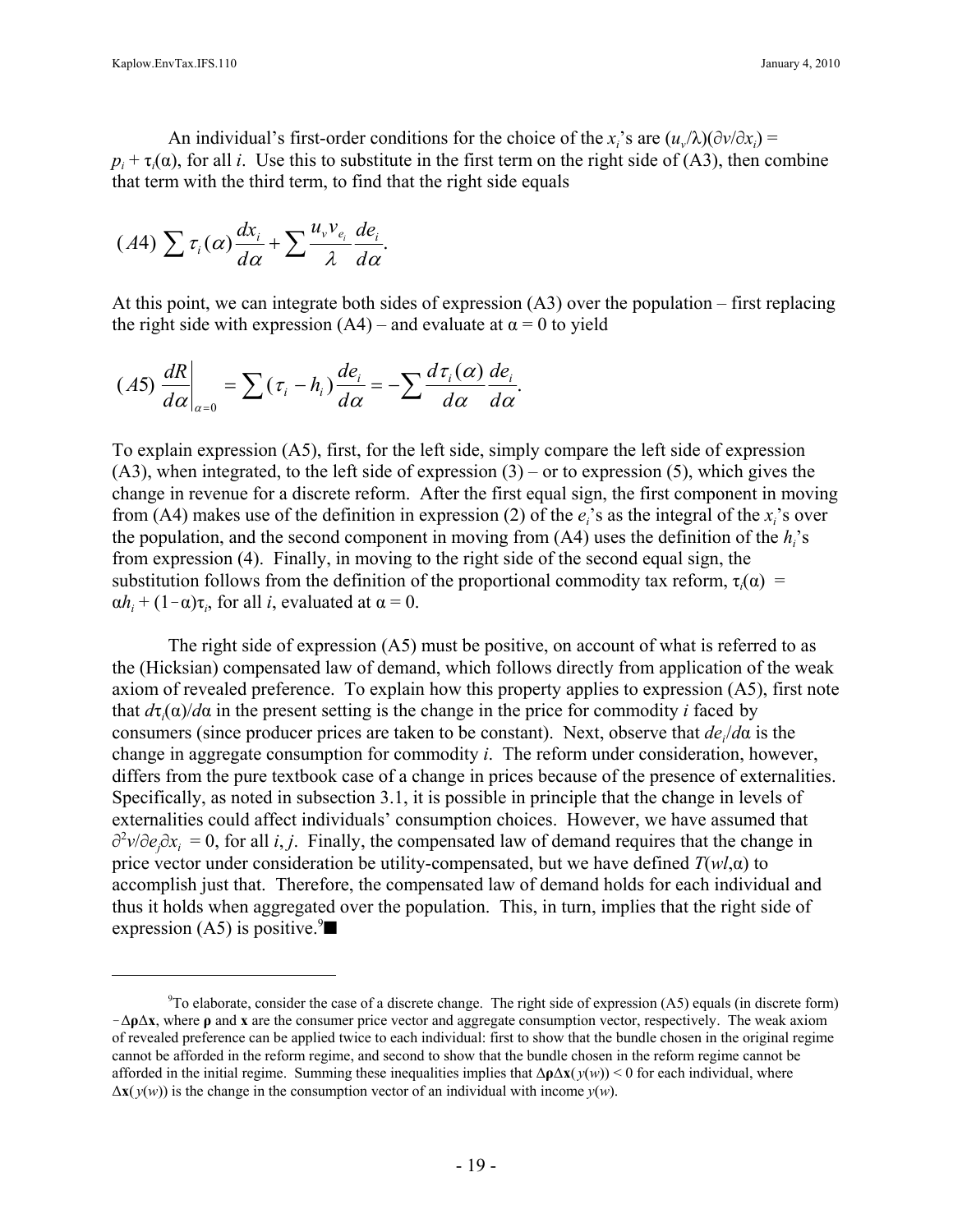An individual's first-order conditions for the choice of the  $x_i$ 's are  $(u_v/\lambda)(\partial v/\partial x_i)$  $p_i + \tau_i(\alpha)$ , for all *i*. Use this to substitute in the first term on the right side of (A3), then combine that term with the third term, to find that the right side equals

$$
(A4)\sum \tau_i(\alpha)\frac{dx_i}{d\alpha}+\sum \frac{u_v v_{e_i}}{\lambda}\frac{de_i}{d\alpha}.
$$

At this point, we can integrate both sides of expression (A3) over the population – first replacing the right side with expression  $(A4)$  – and evaluate at  $\alpha = 0$  to yield

$$
(A5)\frac{dR}{d\alpha}\bigg|_{\alpha=0} = \sum_{i} (\tau_i - h_i) \frac{de_i}{d\alpha} = -\sum_{i} \frac{d\tau_i(\alpha)}{d\alpha} \frac{de_i}{d\alpha}.
$$

To explain expression (A5), first, for the left side, simply compare the left side of expression  $(A3)$ , when integrated, to the left side of expression  $(3)$  – or to expression  $(5)$ , which gives the change in revenue for a discrete reform. After the first equal sign, the first component in moving from (A4) makes use of the definition in expression (2) of the  $e_i$ 's as the integral of the  $x_i$ 's over the population, and the second component in moving from  $(A4)$  uses the definition of the  $h_i$ 's from expression (4). Finally, in moving to the right side of the second equal sign, the substitution follows from the definition of the proportional commodity tax reform,  $\tau_i(\alpha)$  $\alpha h_i + (1-\alpha)\tau_i$ , for all *i*, evaluated at  $\alpha = 0$ .

The right side of expression (A5) must be positive, on account of what is referred to as the (Hicksian) compensated law of demand, which follows directly from application of the weak axiom of revealed preference. To explain how this property applies to expression (A5), first note that *d*τ*<sup>i</sup>* (α)/*d*α in the present setting is the change in the price for commodity *i* faced by consumers (since producer prices are taken to be constant). Next, observe that *dei*/*d*α is the change in aggregate consumption for commodity *i*. The reform under consideration, however, differs from the pure textbook case of a change in prices because of the presence of externalities. Specifically, as noted in subsection 3.1, it is possible in principle that the change in levels of externalities could affect individuals' consumption choices. However, we have assumed that  $\partial^2 v / \partial e_j \partial x_i = 0$ , for all *i*, *j*. Finally, the compensated law of demand requires that the change in price vector under consideration be utility-compensated, but we have defined *T*(*wl*,α) to accomplish just that. Therefore, the compensated law of demand holds for each individual and thus it holds when aggregated over the population. This, in turn, implies that the right side of expression (A5) is positive.<sup>9</sup>

 $^9$ To elaborate, consider the case of a discrete change. The right side of expression (A5) equals (in discrete form) !Δ**ρ**Δ**x**, where **ρ** and **x** are the consumer price vector and aggregate consumption vector, respectively. The weak axiom of revealed preference can be applied twice to each individual: first to show that the bundle chosen in the original regime cannot be afforded in the reform regime, and second to show that the bundle chosen in the reform regime cannot be afforded in the initial regime. Summing these inequalities implies that  $\Delta \rho \Delta x(y(w))$  < 0 for each individual, where  $\Delta$ **x**( $v(w)$ ) is the change in the consumption vector of an individual with income  $v(w)$ .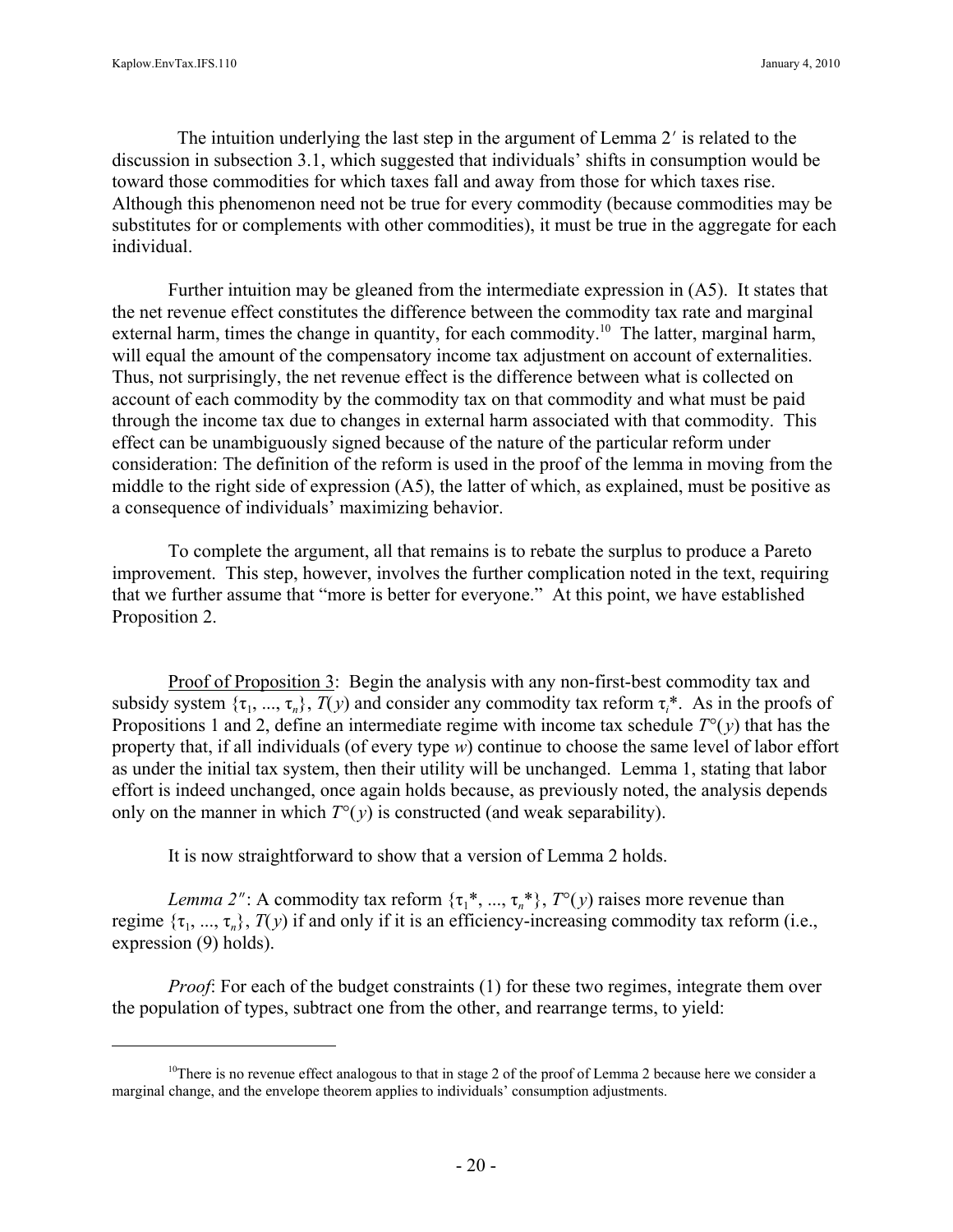The intuition underlying the last step in the argument of Lemma  $2<sup>'</sup>$  is related to the discussion in subsection 3.1, which suggested that individuals' shifts in consumption would be toward those commodities for which taxes fall and away from those for which taxes rise. Although this phenomenon need not be true for every commodity (because commodities may be substitutes for or complements with other commodities), it must be true in the aggregate for each individual.

Further intuition may be gleaned from the intermediate expression in (A5). It states that the net revenue effect constitutes the difference between the commodity tax rate and marginal external harm, times the change in quantity, for each commodity.<sup>10</sup> The latter, marginal harm, will equal the amount of the compensatory income tax adjustment on account of externalities. Thus, not surprisingly, the net revenue effect is the difference between what is collected on account of each commodity by the commodity tax on that commodity and what must be paid through the income tax due to changes in external harm associated with that commodity. This effect can be unambiguously signed because of the nature of the particular reform under consideration: The definition of the reform is used in the proof of the lemma in moving from the middle to the right side of expression (A5), the latter of which, as explained, must be positive as a consequence of individuals' maximizing behavior.

To complete the argument, all that remains is to rebate the surplus to produce a Pareto improvement. This step, however, involves the further complication noted in the text, requiring that we further assume that "more is better for everyone." At this point, we have established Proposition 2.

Proof of Proposition 3: Begin the analysis with any non-first-best commodity tax and subsidy system  $\{\tau_1, ..., \tau_n\}$ ,  $T(y)$  and consider any commodity tax reform  $\tau_i^*$ . As in the proofs of Propositions 1 and 2, define an intermediate regime with income tax schedule  $T<sup>o</sup>(y)$  that has the property that, if all individuals (of every type *w*) continue to choose the same level of labor effort as under the initial tax system, then their utility will be unchanged. Lemma 1, stating that labor effort is indeed unchanged, once again holds because, as previously noted, the analysis depends only on the manner in which  $T^{\circ}(\nu)$  is constructed (and weak separability).

It is now straightforward to show that a version of Lemma 2 holds.

*Lemma 2*": A commodity tax reform  $\{\tau_1^*, \ldots, \tau_n^*\}$ ,  $T^{\circ}(\nu)$  raises more revenue than regime  $\{\tau_1, \ldots, \tau_n\}$ ,  $T(y)$  if and only if it is an efficiency-increasing commodity tax reform (i.e., expression (9) holds).

*Proof*: For each of the budget constraints (1) for these two regimes, integrate them over the population of types, subtract one from the other, and rearrange terms, to yield:

 $10$ There is no revenue effect analogous to that in stage 2 of the proof of Lemma 2 because here we consider a marginal change, and the envelope theorem applies to individuals' consumption adjustments.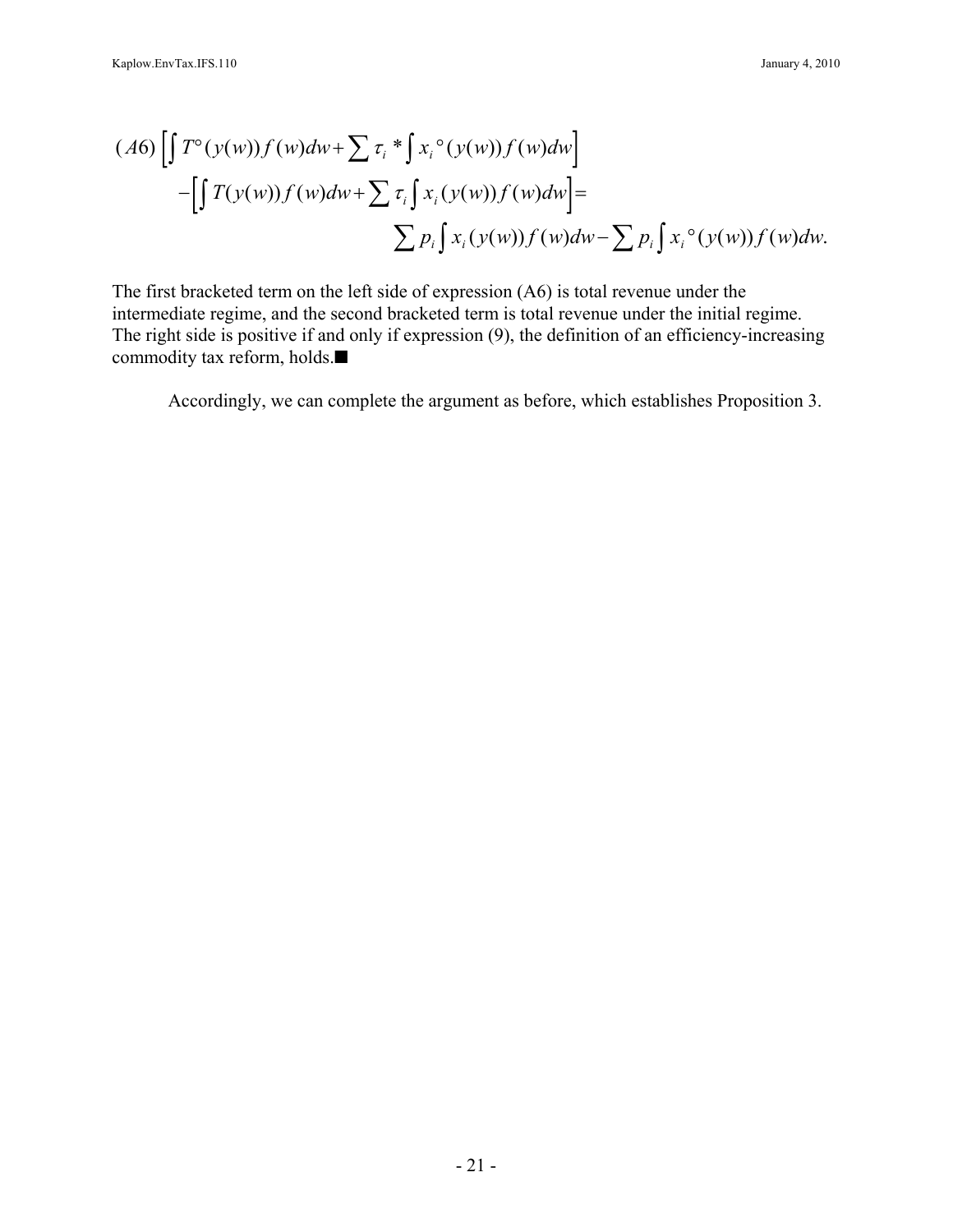$$
(A6)\left[\int T^{\circ}(y(w))f(w)dw + \sum \tau_i * \int x_i^{\circ}(y(w))f(w)dw\right] - \left[\int T(y(w))f(w)dw + \sum \tau_i \int x_i(y(w))f(w)dw\right] = \sum p_i \int x_i(y(w))f(w)dw - \sum p_i \int x_i^{\circ}(y(w))f(w)dw.
$$

The first bracketed term on the left side of expression (A6) is total revenue under the intermediate regime, and the second bracketed term is total revenue under the initial regime. The right side is positive if and only if expression (9), the definition of an efficiency-increasing commodity tax reform, holds.

Accordingly, we can complete the argument as before, which establishes Proposition 3.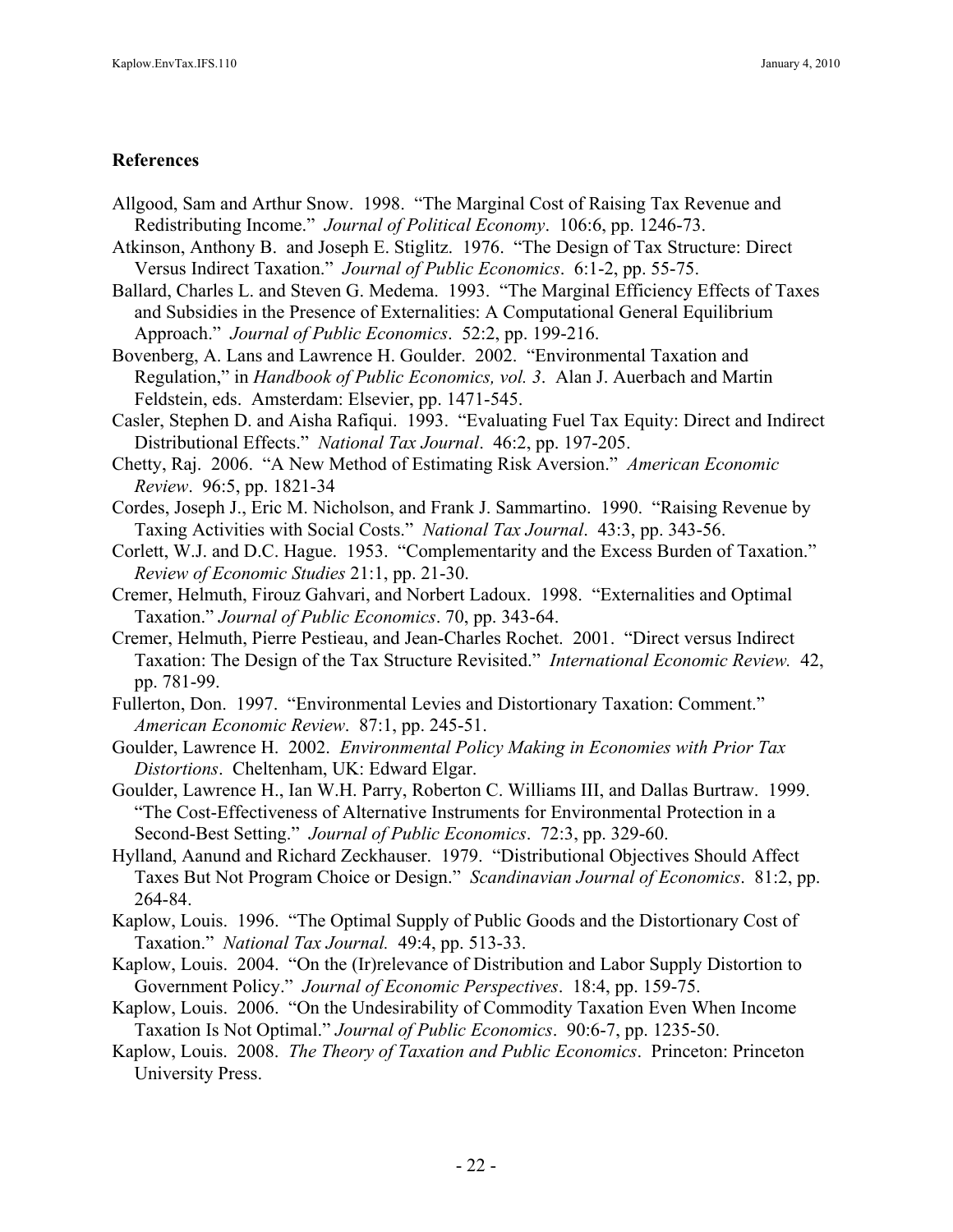#### **References**

- Allgood, Sam and Arthur Snow. 1998. "The Marginal Cost of Raising Tax Revenue and Redistributing Income." *Journal of Political Economy*. 106:6, pp. 1246-73.
- Atkinson, Anthony B. and Joseph E. Stiglitz. 1976. "The Design of Tax Structure: Direct Versus Indirect Taxation." *Journal of Public Economics*. 6:1-2, pp. 55-75.
- Ballard, Charles L. and Steven G. Medema. 1993. "The Marginal Efficiency Effects of Taxes and Subsidies in the Presence of Externalities: A Computational General Equilibrium Approach." *Journal of Public Economics*. 52:2, pp. 199-216.
- Bovenberg, A. Lans and Lawrence H. Goulder. 2002. "Environmental Taxation and Regulation," in *Handbook of Public Economics, vol. 3*. Alan J. Auerbach and Martin Feldstein, eds. Amsterdam: Elsevier, pp. 1471-545.
- Casler, Stephen D. and Aisha Rafiqui. 1993. "Evaluating Fuel Tax Equity: Direct and Indirect Distributional Effects." *National Tax Journal*. 46:2, pp. 197-205.
- Chetty, Raj. 2006. "A New Method of Estimating Risk Aversion." *American Economic Review*. 96:5, pp. 1821-34
- Cordes, Joseph J., Eric M. Nicholson, and Frank J. Sammartino. 1990. "Raising Revenue by Taxing Activities with Social Costs." *National Tax Journal*. 43:3, pp. 343-56.
- Corlett, W.J. and D.C. Hague. 1953. "Complementarity and the Excess Burden of Taxation." *Review of Economic Studies* 21:1, pp. 21-30.
- Cremer, Helmuth, Firouz Gahvari, and Norbert Ladoux. 1998. "Externalities and Optimal Taxation." *Journal of Public Economics*. 70, pp. 343-64.
- Cremer, Helmuth, Pierre Pestieau, and Jean-Charles Rochet. 2001. "Direct versus Indirect Taxation: The Design of the Tax Structure Revisited." *International Economic Review.* 42, pp. 781-99.
- Fullerton, Don. 1997. "Environmental Levies and Distortionary Taxation: Comment." *American Economic Review*. 87:1, pp. 245-51.
- Goulder, Lawrence H. 2002. *Environmental Policy Making in Economies with Prior Tax Distortions*. Cheltenham, UK: Edward Elgar.
- Goulder, Lawrence H., Ian W.H. Parry, Roberton C. Williams III, and Dallas Burtraw. 1999. "The Cost-Effectiveness of Alternative Instruments for Environmental Protection in a Second-Best Setting." *Journal of Public Economics*. 72:3, pp. 329-60.
- Hylland, Aanund and Richard Zeckhauser. 1979. "Distributional Objectives Should Affect Taxes But Not Program Choice or Design." *Scandinavian Journal of Economics*. 81:2, pp. 264-84.
- Kaplow, Louis. 1996. "The Optimal Supply of Public Goods and the Distortionary Cost of Taxation." *National Tax Journal.* 49:4, pp. 513-33.
- Kaplow, Louis. 2004. "On the (Ir)relevance of Distribution and Labor Supply Distortion to Government Policy." *Journal of Economic Perspectives*. 18:4, pp. 159-75.
- Kaplow, Louis. 2006. "On the Undesirability of Commodity Taxation Even When Income Taxation Is Not Optimal." *Journal of Public Economics*. 90:6-7, pp. 1235-50.
- Kaplow, Louis. 2008. *The Theory of Taxation and Public Economics*. Princeton: Princeton University Press.